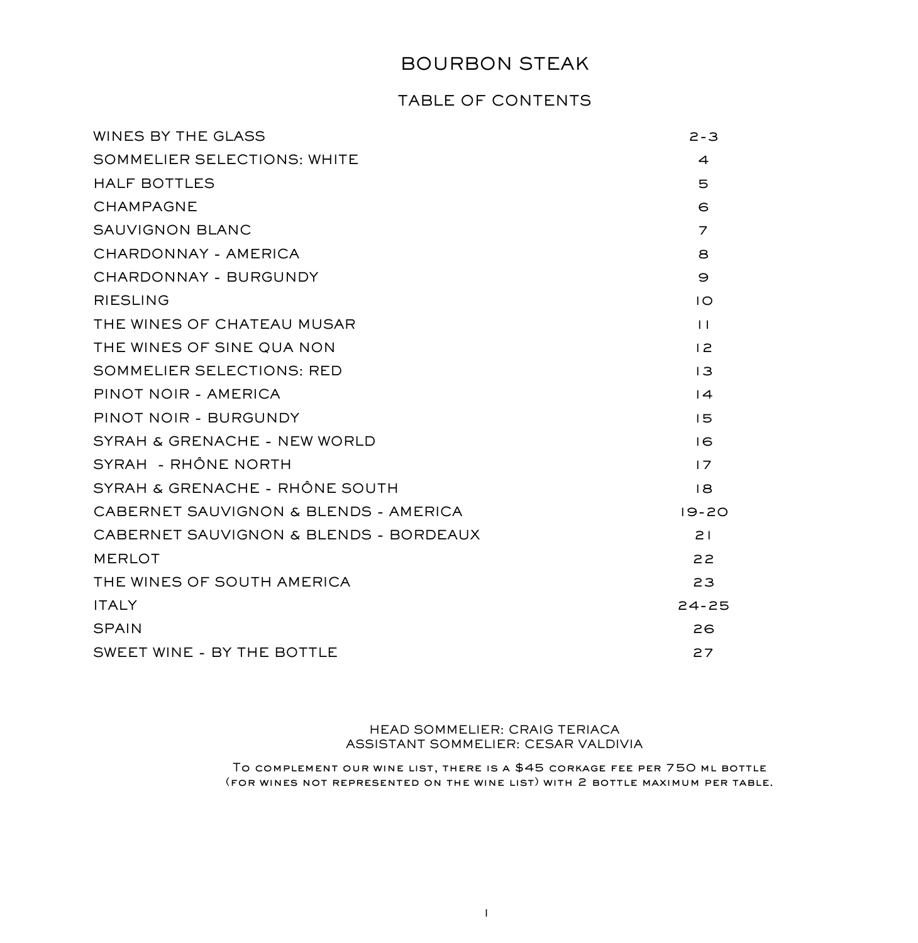# BOURBON STEAK

### TABLE OF CONTENTS

| WINES BY THE GLASS                     | $2 - 3$                  |
|----------------------------------------|--------------------------|
| SOMMELIER SELECTIONS: WHITE            | $\overline{\mathcal{L}}$ |
| <b>HALF BOTTLES</b>                    | 5                        |
| <b>CHAMPAGNE</b>                       | 6                        |
| SAUVIGNON BLANC                        | $\overline{z}$           |
| CHARDONNAY - AMERICA                   | 8                        |
| CHARDONNAY - BURGUNDY                  | $\Theta$                 |
| <b>RIESLING</b>                        | 10                       |
| THE WINES OF CHATEAU MUSAR             | $\perp$                  |
| THE WINES OF SINE OUA NON              | 12                       |
| <b>SOMMELIER SELECTIONS: RED</b>       | $\overline{3}$           |
| PINOT NOIR - AMERICA                   | 4                        |
| PINOT NOIR - BURGUNDY                  | 15                       |
| SYRAH & GRENACHE - NEW WORLD           | $\overline{6}$           |
| SYRAH - RHÔNE NORTH                    | 17                       |
| SYRAH & GRENACHE - RHÔNE SOUTH         | 8                        |
| CABERNET SAUVIGNON & BLENDS - AMERICA  | $19 - 20$                |
| CABERNET SAUVIGNON & BLENDS - BORDEAUX | 21                       |
| <b>MERLOT</b>                          | 22                       |
| THE WINES OF SOUTH AMERICA             | 23                       |
| <b>ITALY</b>                           | $24 - 25$                |
| <b>SPAIN</b>                           | 26                       |
| SWEET WINE - BY THE BOTTLE             | 27                       |

#### HEAD SOMMELIER: CRAIG TERIACA ASSISTANT SOMMELIER: CESAR VALDIVIA

To complement our wine list, there is a \$45 corkage fee per 750 ml bottle (for wines not represented on the wine list) with 2 bottle maximum per table.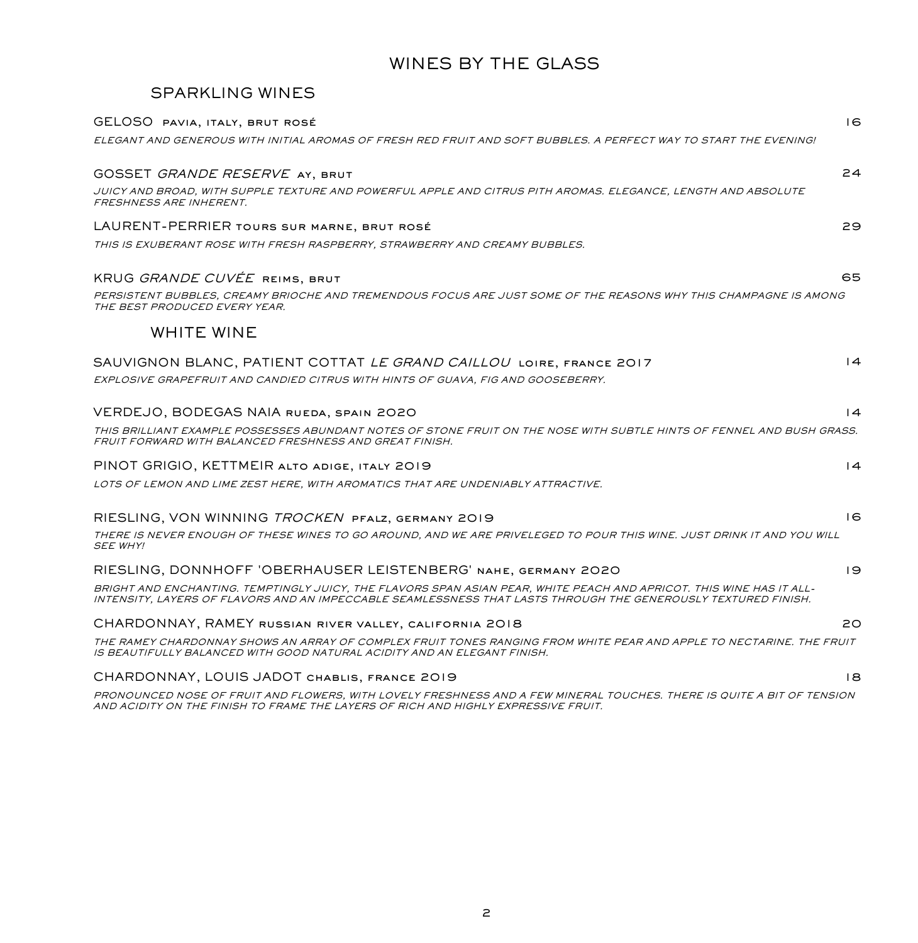## WINES BY THE GLASS

### SPARKLING WINES

| <b>GELOSO</b> PAVIA, ITALY, BRUT ROSÉ                                                                                                                                                                                                  | 6               |
|----------------------------------------------------------------------------------------------------------------------------------------------------------------------------------------------------------------------------------------|-----------------|
| ELEGANT AND GENEROUS WITH INITIAL AROMAS OF FRESH RED FRUIT AND SOFT BUBBLES. A PERFECT WAY TO START THE EVENING!                                                                                                                      |                 |
| GOSSET GRANDE RESERVE AY, BRUT                                                                                                                                                                                                         | 24              |
| JUICY AND BROAD, WITH SUPPLE TEXTURE AND POWERFUL APPLE AND CITRUS PITH AROMAS. ELEGANCE, LENGTH AND ABSOLUTE<br><b>FRESHNESS ARE INHERENT.</b>                                                                                        |                 |
| LAURENT-PERRIER TOURS SUR MARNE, BRUT ROSÉ                                                                                                                                                                                             | 29              |
| THIS IS EXUBERANT ROSE WITH FRESH RASPBERRY, STRAWBERRY AND CREAMY BUBBLES.                                                                                                                                                            |                 |
| KRUG GRANDE CUVÉE REIMS, BRUT                                                                                                                                                                                                          | 65              |
| PERSISTENT BUBBLES, CREAMY BRIOCHE AND TREMENDOUS FOCUS ARE JUST SOME OF THE REASONS WHY THIS CHAMPAGNE IS AMONG<br>THE BEST PRODUCED EVERY YEAR.                                                                                      |                 |
| <b>WHITE WINE</b>                                                                                                                                                                                                                      |                 |
| SAUVIGNON BLANC, PATIENT COTTAT LE GRAND CAILLOU LOIRE, FRANCE 2017                                                                                                                                                                    | $\overline{14}$ |
| EXPLOSIVE GRAPEFRUIT AND CANDIED CITRUS WITH HINTS OF GUAVA, FIG AND GOOSEBERRY.                                                                                                                                                       |                 |
| VERDEJO, BODEGAS NAIA RUEDA, SPAIN 2020                                                                                                                                                                                                | $\overline{14}$ |
| THIS BRILLIANT EXAMPLE POSSESSES ABUNDANT NOTES OF STONE FRUIT ON THE NOSE WITH SUBTLE HINTS OF FENNEL AND BUSH GRASS.<br><b>FRUIT FORWARD WITH BALANCED FRESHNESS AND GREAT FINISH.</b>                                               |                 |
| PINOT GRIGIO, KETTMEIR ALTO ADIGE, ITALY 2019                                                                                                                                                                                          | $\overline{14}$ |
| LOTS OF LEMON AND LIME ZEST HERE, WITH AROMATICS THAT ARE UNDENIABLY ATTRACTIVE.                                                                                                                                                       |                 |
| RIESLING, VON WINNING TROCKEN PFALZ, GERMANY 2019                                                                                                                                                                                      | 16              |
| THERE IS NEVER ENOUGH OF THESE WINES TO GO AROUND, AND WE ARE PRIVELEGED TO POUR THIS WINE. JUST DRINK IT AND YOU WILL<br><b>SEE WHY!</b>                                                                                              |                 |
| RIESLING, DONNHOFF 'OBERHAUSER LEISTENBERG' NAHE, GERMANY 2020                                                                                                                                                                         | $\overline{19}$ |
| BRIGHT AND ENCHANTING. TEMPTINGLY JUICY, THE FLAVORS SPAN ASIAN PEAR, WHITE PEACH AND APRICOT. THIS WINE HAS IT ALL-<br>INTENSITY, LAYERS OF FLAVORS AND AN IMPECCABLE SEAMLESSNESS THAT LASTS THROUGH THE GENEROUSLY TEXTURED FINISH. |                 |
| CHARDONNAY, RAMEY RUSSIAN RIVER VALLEY, CALIFORNIA 2018                                                                                                                                                                                | 20              |
| THE RAMEY CHARDONNAY SHOWS AN ARRAY OF COMPLEX FRUIT TONES RANGING FROM WHITE PEAR AND APPLE TO NECTARINE. THE FRUIT<br>IS BEAUTIFULLY BALANCED WITH GOOD NATURAL ACIDITY AND AN ELEGANT FINISH.                                       |                 |
| CHARDONNAY, LOUIS JADOT CHABLIS, FRANCE 2019                                                                                                                                                                                           | 18              |

*PRONOUNCED NOSE OF FRUIT AND FLOWERS, WITH LOVELY FRESHNESS AND A FEW MINERAL TOUCHES. THERE IS QUITE A BIT OF TENSION AND ACIDITY ON THE FINISH TO FRAME THE LAYERS OF RICH AND HIGHLY EXPRESSIVE FRUIT.*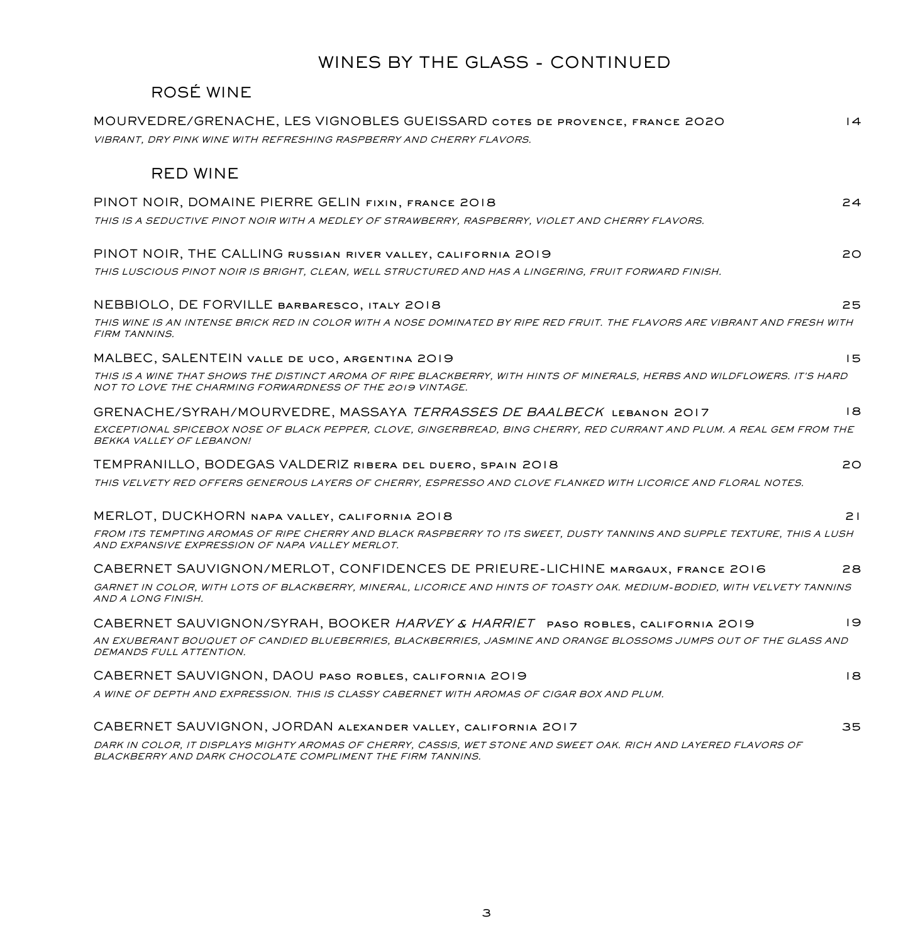# WINES BY THE GLASS - CONTINUED

## ROSÉ WINE

| MOURVEDRE/GRENACHE, LES VIGNOBLES GUEISSARD COTES DE PROVENCE, FRANCE 2020<br>VIBRANT. DRY PINK WINE WITH REFRESHING RASPBERRY AND CHERRY FLAVORS.                                                                                             | $\overline{14}$ |
|------------------------------------------------------------------------------------------------------------------------------------------------------------------------------------------------------------------------------------------------|-----------------|
| <b>RED WINE</b>                                                                                                                                                                                                                                |                 |
| PINOT NOIR, DOMAINE PIERRE GELIN FIXIN, FRANCE 2018<br>THIS IS A SEDUCTIVE PINOT NOIR WITH A MEDLEY OF STRAWBERRY, RASPBERRY, VIOLET AND CHERRY FLAVORS.                                                                                       | 24              |
| PINOT NOIR, THE CALLING RUSSIAN RIVER VALLEY, CALIFORNIA 2019<br>THIS LUSCIOUS PINOT NOIR IS BRIGHT, CLEAN, WELL STRUCTURED AND HAS A LINGERING, FRUIT FORWARD FINISH.                                                                         | 20              |
| NEBBIOLO, DE FORVILLE BARBARESCO, ITALY 2018<br>THIS WINE IS AN INTENSE BRICK RED IN COLOR WITH A NOSE DOMINATED BY RIPE RED FRUIT. THE FLAVORS ARE VIBRANT AND FRESH WITH<br><b>FIRM TANNINS.</b>                                             | 25              |
| MALBEC, SALENTEIN VALLE DE UCO, ARGENTINA 2019<br>THIS IS A WINE THAT SHOWS THE DISTINCT AROMA OF RIPE BLACKBERRY, WITH HINTS OF MINERALS, HERBS AND WILDFLOWERS. IT'S HARD<br>NOT TO LOVE THE CHARMING FORWARDNESS OF THE 2019 VINTAGE.       | 15              |
| GRENACHE/SYRAH/MOURVEDRE, MASSAYA <i>TERRASSES DE BAALBECK</i> lebanon 2017<br>EXCEPTIONAL SPICEBOX NOSE OF BLACK PEPPER, CLOVE, GINGERBREAD, BING CHERRY, RED CURRANT AND PLUM. A REAL GEM FROM THE<br>BEKKA VALLEY OF LEBANON!               | 18              |
| TEMPRANILLO, BODEGAS VALDERIZ RIBERA DEL DUERO, SPAIN 2018<br>THIS VELVETY RED OFFERS GENEROUS LAYERS OF CHERRY, ESPRESSO AND CLOVE FLANKED WITH LICORICE AND FLORAL NOTES.                                                                    | 20              |
| MERLOT, DUCKHORN NAPA VALLEY, CALIFORNIA 2018<br>FROM ITS TEMPTING AROMAS OF RIPE CHERRY AND BLACK RASPBERRY TO ITS SWEET, DUSTY TANNINS AND SUPPLE TEXTURE, THIS A LUSH<br>AND EXPANSIVE EXPRESSION OF NAPA VALLEY MERLOT.                    | 21              |
| CABERNET SAUVIGNON/MERLOT, CONFIDENCES DE PRIEURE-LICHINE MARGAUX, FRANCE 2016<br>GARNET IN COLOR, WITH LOTS OF BLACKBERRY, MINERAL, LICORICE AND HINTS OF TOASTY OAK. MEDIUM-BODIED, WITH VELVETY TANNINS<br>AND A LONG FINISH.               | 28              |
| CABERNET SAUVIGNON/SYRAH, BOOKER <i>HARVEY &amp; HARRIET</i> PASO ROBLES, CALIFORNIA 2019<br>AN EXUBERANT BOUQUET OF CANDIED BLUEBERRIES, BLACKBERRIES, JASMINE AND ORANGE BLOSSOMS JUMPS OUT OF THE GLASS AND<br>DEMANDS FULL ATTENTION.      | $\overline{19}$ |
| CABERNET SAUVIGNON, DAOU PASO ROBLES, CALIFORNIA 2019<br>A WINE OF DEPTH AND EXPRESSION. THIS IS CLASSY CABERNET WITH AROMAS OF CIGAR BOX AND PLUM.                                                                                            | 18              |
| CABERNET SAUVIGNON, JORDAN ALEXANDER VALLEY, CALIFORNIA 2017<br>DARK IN COLOR, IT DISPLAYS MIGHTY AROMAS OF CHERRY, CASSIS, WET STONE AND SWEET OAK. RICH AND LAYERED FLAVORS OF<br>BLACKBERRY AND DARK CHOCOLATE COMPLIMENT THE FIRM TANNINS. | 35              |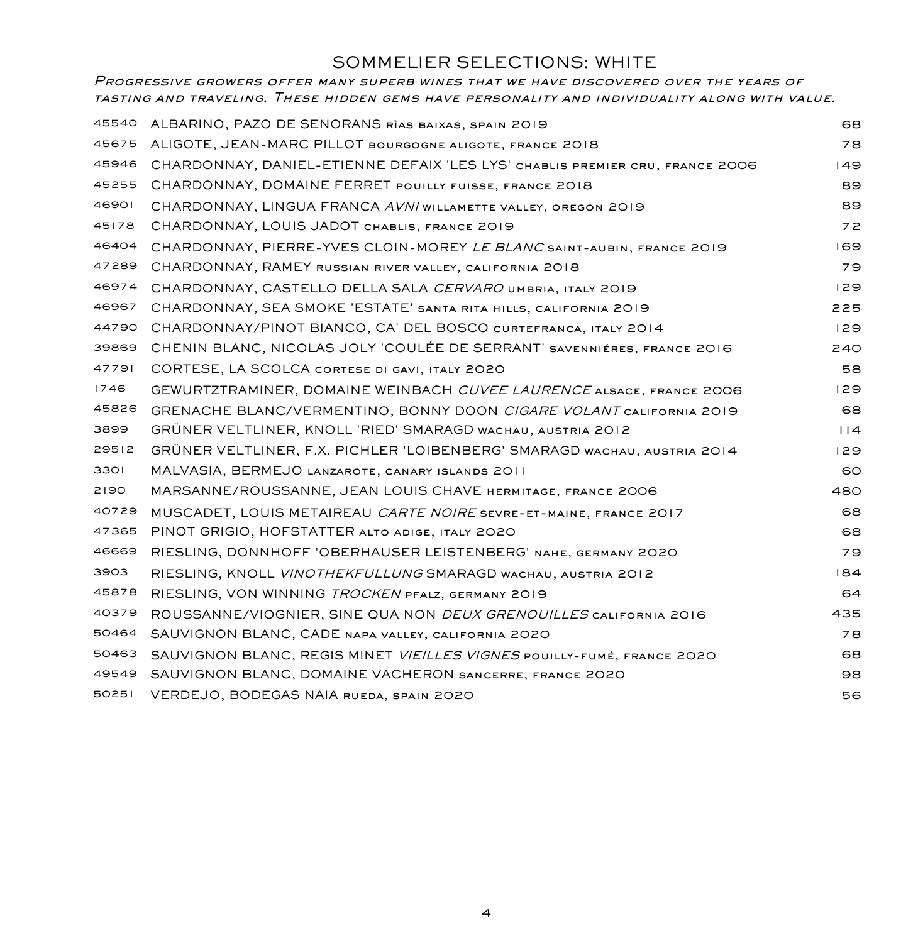# SOMMELIER SELECTIONS: WHITE

*Progressive growers offer many superb wines that we have discovered over the years of tasting and traveling. These hidden gems have personality and individuality along with value.*

|       | 45540 ALBARINO, PAZO DE SENORANS RIAS BAIXAS, SPAIN 2019                     | 68   |
|-------|------------------------------------------------------------------------------|------|
|       | 45675 ALIGOTE, JEAN-MARC PILLOT BOURGOGNE ALIGOTE, FRANCE 2018               | 78   |
| 45946 | CHARDONNAY, DANIEL-ETIENNE DEFAIX 'LES LYS' CHABLIS PREMIER CRU, FRANCE 2006 | 49   |
| 45255 | CHARDONNAY, DOMAINE FERRET POUILLY FUISSE, FRANCE 2018                       | 89   |
| 46901 | CHARDONNAY, LINGUA FRANCA AVN/ WILLAMETTE VALLEY, OREGON 2019                | 89   |
| 45178 | CHARDONNAY, LOUIS JADOT CHABLIS, FRANCE 2019                                 | 72   |
| 46404 | CHARDONNAY, PIERRE-YVES CLOIN-MOREY LE BLANC SAINT-AUBIN, FRANCE 2019        | 169. |
| 47289 | CHARDONNAY, RAMEY RUSSIAN RIVER VALLEY, CALIFORNIA 2018                      | 79   |
|       | 46974 CHARDONNAY, CASTELLO DELLA SALA CERVARO UMBRIA, ITALY 2019             | 129  |
| 46967 | CHARDONNAY, SEA SMOKE 'ESTATE' SANTA RITA HILLS, CALIFORNIA 2019             | 225  |
|       | 44790 CHARDONNAY/PINOT BIANCO, CA' DEL BOSCO CURTEFRANCA, ITALY 2014         | 129  |
| 39869 | CHENIN BLANC, NICOLAS JOLY 'COULÉE DE SERRANT' SAVENNIÉRES, FRANCE 2016      | 240  |
| 47791 | CORTESE, LA SCOLCA CORTESE DI GAVI, ITALY 2020                               | 58   |
| 1746  | GEWURTZTRAMINER, DOMAINE WEINBACH CUVEE LAURENCE ALSACE, FRANCE 2006         | 129  |
| 45826 | GRENACHE BLANC/VERMENTINO, BONNY DOON CIGARE VOLANT CALIFORNIA 2019          | 68   |
| 3899  | GRÜNER VELTLINER, KNOLL 'RIED' SMARAGD WACHAU, AUSTRIA 2012                  | 114  |
| 29512 | GRÜNER VELTLINER, F.X. PICHLER 'LOIBENBERG' SMARAGD WACHAU, AUSTRIA 2014     | 129  |
| 3301  | MALVASIA, BERMEJO LANZAROTE, CANARY ISLANDS 2011                             | 60   |
| 2190  | MARSANNE/ROUSSANNE, JEAN LOUIS CHAVE HERMITAGE, FRANCE 2006                  | 480  |
| 40729 | MUSCADET, LOUIS METAIREAU CARTE NOIRE SEVRE-ET-MAINE, FRANCE 2017            | 68   |
| 47365 | PINOT GRIGIO, HOFSTATTER ALTO ADIGE, ITALY 2020                              | 68   |
| 46669 | RIESLING, DONNHOFF 'OBERHAUSER LEISTENBERG' NAHE, GERMANY 2020               | 79   |
| 3903  | RIESLING, KNOLL VINOTHEKFULLUNG SMARAGD WACHAU, AUSTRIA 2012                 | 184  |
| 45878 | RIESLING, VON WINNING TROCKEN PFALZ, GERMANY 2019                            | 64   |
| 40379 | ROUSSANNE/VIOGNIER, SINE QUA NON DEUX GRENOUILLES CALIFORNIA 2016            | 435  |
| 50464 | SAUVIGNON BLANC, CADE NAPA VALLEY, CALIFORNIA 2020                           | 78   |
| 50463 | SAUVIGNON BLANC, REGIS MINET VIEILLES VIGNES POUILLY-FUMÉ, FRANCE 2020       | 68   |
| 49549 | SAUVIGNON BLANC, DOMAINE VACHERON SANCERRE, FRANCE 2020                      | 98   |
| 50251 | VERDEJO, BODEGAS NAIA RUEDA, SPAIN 2020                                      | 56   |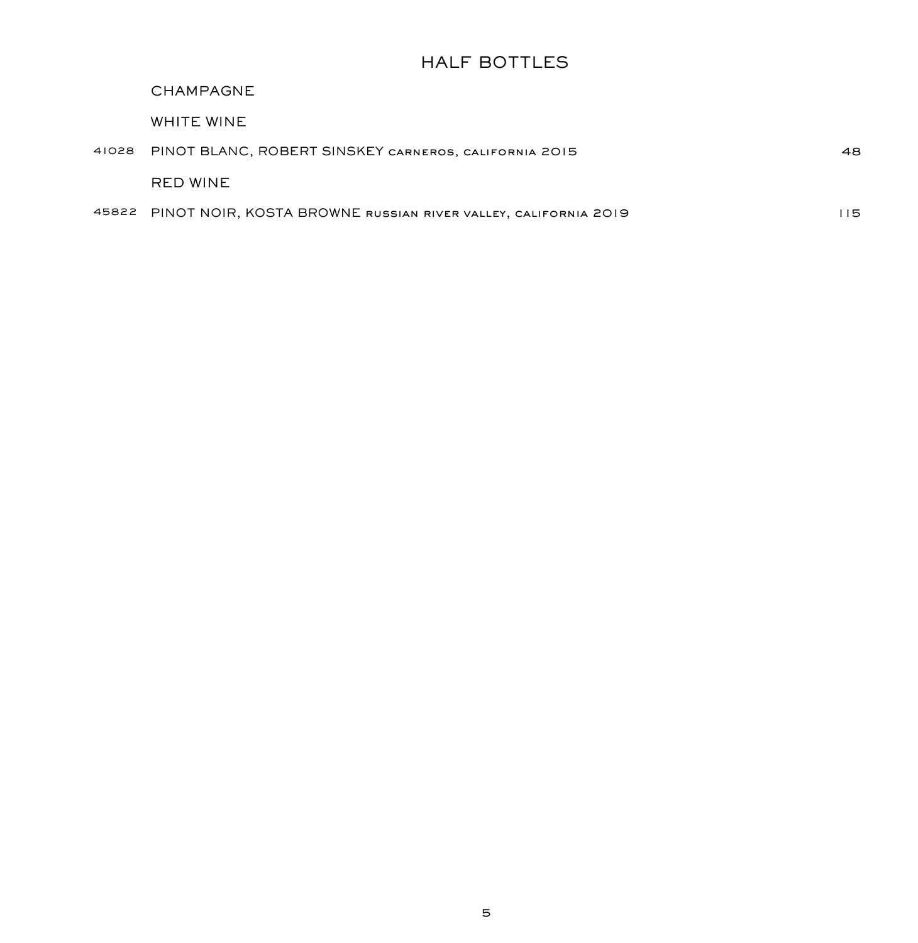# HALF BOTTLES

|  |  | <b>CHAMPAGNE</b> |
|--|--|------------------|
|--|--|------------------|

WHITE WINE

| 41028 PINOT BLANC, ROBERT SINSKEY CARNEROS, CALIFORNIA 2015          | 48. |
|----------------------------------------------------------------------|-----|
| RED WINE                                                             |     |
| 45822 PINOT NOIR, KOSTA BROWNE RUSSIAN RIVER VALLEY, CALIFORNIA 2019 | 15. |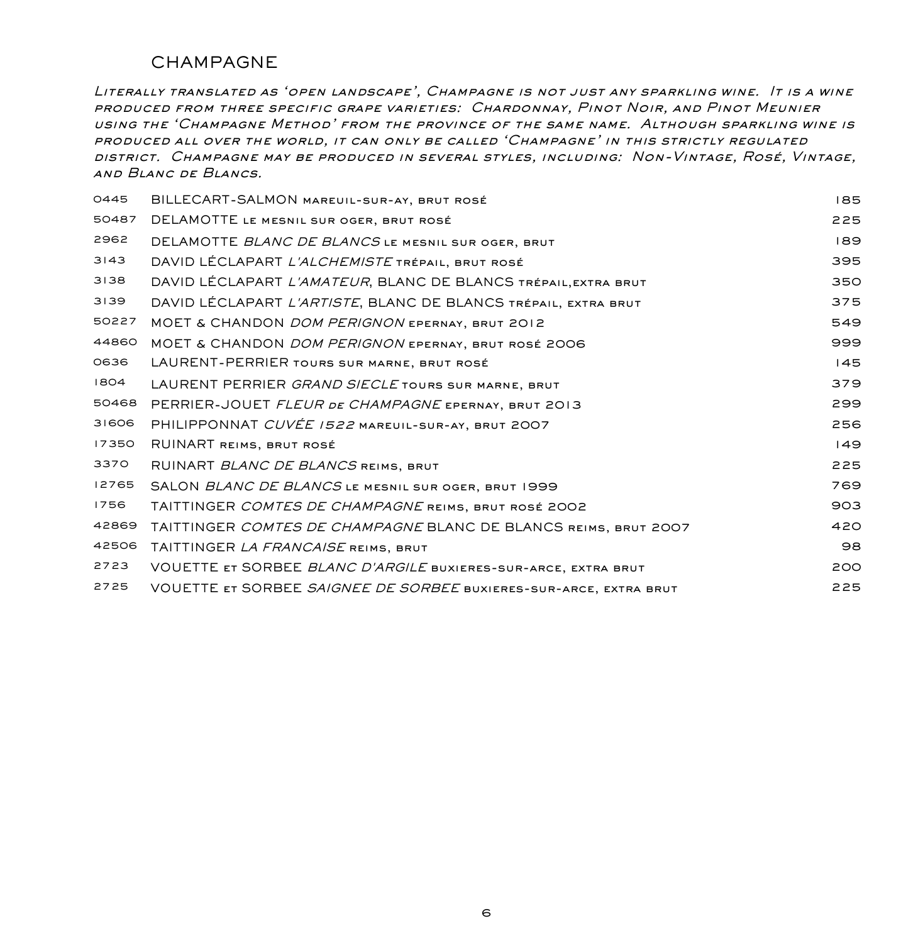### CHAMPAGNE

*Literally translated as 'open landscape', Champagne is not just any sparkling wine. It is a wine produced from three specific grape varieties: Chardonnay, Pinot Noir, and Pinot Meunier using the 'Champagne Method' from the province of the same name. Although sparkling wine is produced all over the world, it can only be called 'Champagne' in this strictly regulated district. Champagne may be produced in several styles, including: Non-Vintage, Rosé, Vintage, and Blanc de Blancs.*

| 0445  | BILLECART-SALMON MAREUIL-SUR-AY, BRUT ROSÉ                               | 185 |
|-------|--------------------------------------------------------------------------|-----|
| 50487 | DELAMOTTE LE MESNIL SUR OGER, BRUT ROSÉ                                  | 225 |
| 2962  | DELAMOTTE BLANC DE BLANCS LE MESNIL SUR OGER, BRUT                       | 189 |
| 3143  | DAVID LÉCLAPART L'ALCHEMISTE TRÉPAIL, BRUT ROSÉ                          | 395 |
| 3138  | DAVID LÉCLAPART L'AMATEUR, BLANC DE BLANCS TRÉPAIL, EXTRA BRUT           | 350 |
| 3139  | DAVID LECLAPART L'ARTISTE, BLANC DE BLANCS TRÉPAIL, EXTRA BRUT           | 375 |
| 50227 | MOET & CHANDON DOM PERIGNON EPERNAY, BRUT 2012                           | 549 |
| 44860 | MOET & CHANDON DOM PERIGNON EPERNAY, BRUT ROSÉ 2006                      | 999 |
| 0636  | LAURENT-PERRIER TOURS SUR MARNE, BRUT ROSÉ                               | 145 |
| 1804  | LAURENT PERRIER <i>GRAND SIECLE</i> TOURS SUR MARNE, BRUT                | 379 |
| 50468 | PERRIER-JOUET FLEUR DE CHAMPAGNE EPERNAY, BRUT 2013                      | 299 |
| 31606 | PHILIPPONNAT CUVÉE 1522 MAREUIL-SUR-AY, BRUT 2007                        | 256 |
| 17350 | RUINART REIMS, BRUT ROSÉ                                                 | 149 |
| 3370  | RUINART BLANC DE BLANCS REIMS, BRUT                                      | 225 |
| 12765 | SALON BLANC DE BLANCS LE MESNIL SUR OGER, BRUT 1999                      | 769 |
| 1756  | TAITTINGER COMTES DE CHAMPAGNE REIMS, BRUT ROSÉ 2002                     | 903 |
| 42869 | TAITTINGER COMTES DE CHAMPAGNE BLANC DE BLANCS REIMS, BRUT 2007          | 420 |
| 42506 | TAITTINGER <i>LA FRANCAISE</i> REIMS, BRUT                               | 98  |
| 2723  | VOUETTE ET SORBEE BLANC D'ARGILE BUXIERES-SUR-ARCE, EXTRA BRUT           | 200 |
| 2725  | VOUETTE ET SORBEE <i>SAIGNEE DE SORBEE</i> BUXIERES-SUR-ARCE, EXTRA BRUT | 225 |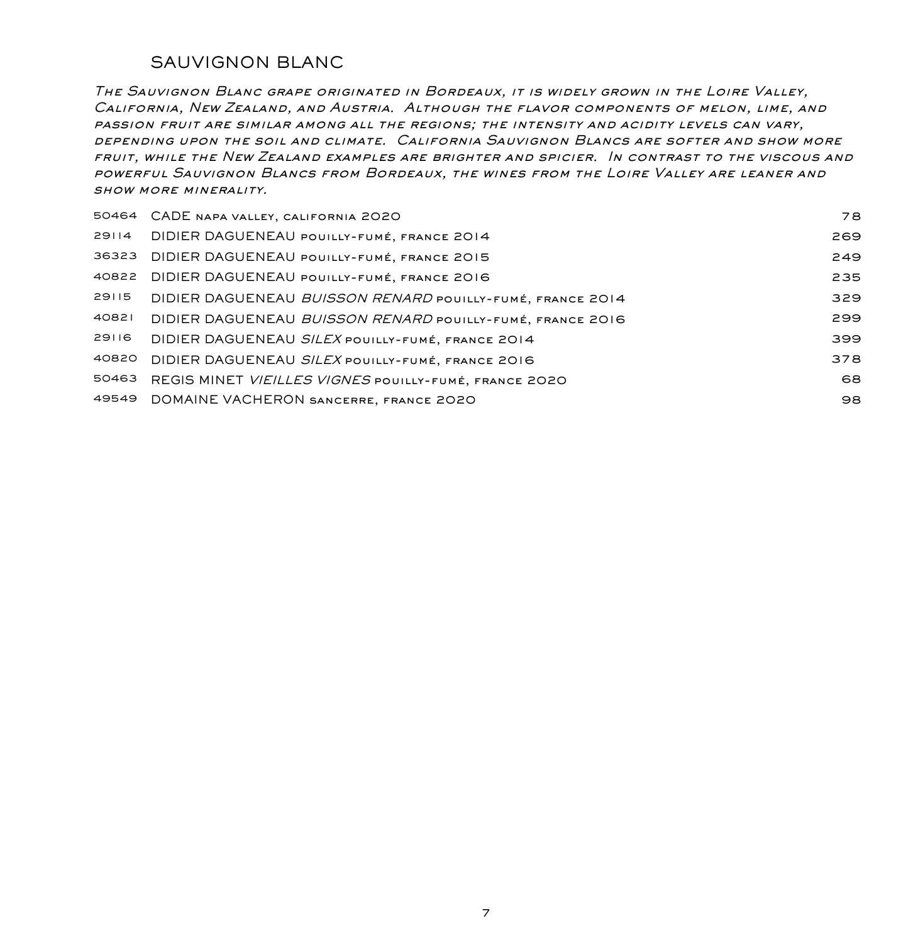### SAUVIGNON BLANC

*The Sauvignon Blanc grape originated in Bordeaux, it is widely grown in the Loire Valley, California, New Zealand, and Austria. Although the flavor components of melon, lime, and passion fruit are similar among all the regions; the intensity and acidity levels can vary, depending upon the soil and climate. California Sauvignon Blancs are softer and show more fruit, while the New Zealand examples are brighter and spicier. In contrast to the viscous and powerful Sauvignon Blancs from Bordeaux, the wines from the Loire Valley are leaner and show more minerality.*

|       | 50464 CADE NAPA VALLEY, CALIFORNIA 2020                   | 78  |
|-------|-----------------------------------------------------------|-----|
| 29114 | DIDIER DAGUENEAU POUILLY-FUMÉ, FRANCE 2014                | 269 |
| 36323 | DIDIER DAGUENEAU POUILLY-FUMÉ, FRANCE 2015                | 249 |
| 40822 | DIDIER DAGUENEAU POUILLY-FUMÉ, FRANCE 2016                | 235 |
| 29115 | DIDIER DAGUENEAU BUISSON RENARD POUILLY-FUMÉ, FRANCE 2014 | 329 |
| 40821 | DIDIER DAGUENEAU BUISSON RENARD POUILLY-FUMÉ, FRANCE 2016 | 299 |
| 29116 | DIDIER DAGUENEAU SILEX POUILLY-FUMÉ, FRANCE 2014          | 399 |
| 40820 | DIDIER DAGUENEAU SILEX POUILLY-FUMÉ, FRANCE 2016          | 378 |
| 50463 | REGIS MINET VIEILLES VIGNES POUILLY-FUMÉ, FRANCE 2020     | 68  |
| 49549 | DOMAINE VACHERON SANCERRE, FRANCE 2020                    | 98  |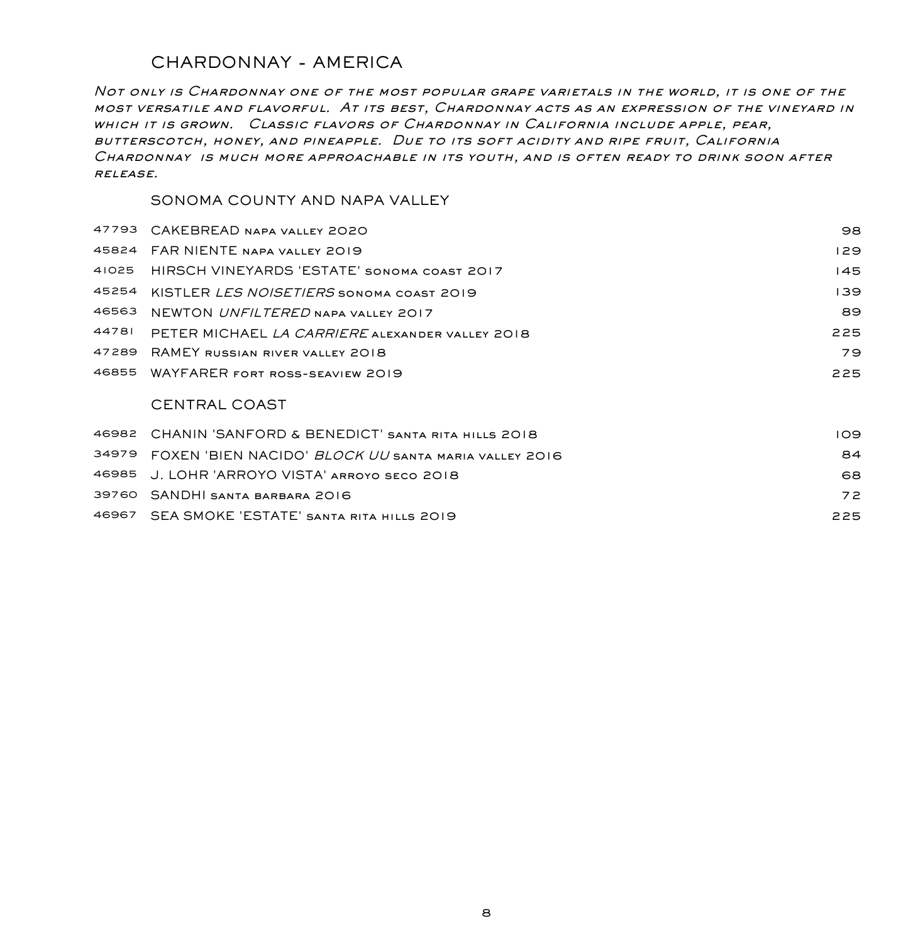### CHARDONNAY - AMERICA

*Not only is Chardonnay one of the most popular grape varietals in the world, it is one of the most versatile and flavorful. At its best, Chardonnay acts as an expression of the vineyard in which it is grown. Classic flavors of Chardonnay in California include apple, pear, butterscotch, honey, and pineapple. Due to its soft acidity and ripe fruit, California Chardonnay is much more approachable in its youth, and is often ready to drink soon after release.*

#### SONOMA COUNTY AND NAPA VALLEY

|       | 47793 CAKEBREAD NAPA VALLEY 2020                       | 98   |
|-------|--------------------------------------------------------|------|
|       | 45824 FAR NIENTE NAPA VALLEY 2019                      | 129. |
| 41025 | HIRSCH VINEYARDS 'ESTATE' SONOMA COAST 2017            | 145  |
| 45254 | KISTLER <i>LES NOISETIERS</i> sonoma coast 2019        | 139. |
| 46563 | NEWTON UNFILTERED NAPA VALLEY 2017                     | 89   |
| 44781 | PETER MICHAEL <i>LA CARRIERE</i> ALEXANDER VALLEY 2018 | 225  |
|       | 47289 RAMEY RUSSIAN RIVER VALLEY 2018                  | 79   |
|       | 46855 WAYFARER FORT ROSS-SEAVIEW 2019                  | 225  |
|       | CENTRAL COAST                                          |      |

## CHANIN 'SANFORD & BENEDICT' santa rita hills 2018 109 FOXEN 'BIEN NACIDO' *BLOCK UU* santa maria valley 2016 84 J. LOHR 'ARROYO VISTA' arroyo seco 2018 68 SANDHI santa barbara 2016 72 SEA SMOKE 'ESTATE' santa rita hills 2019 225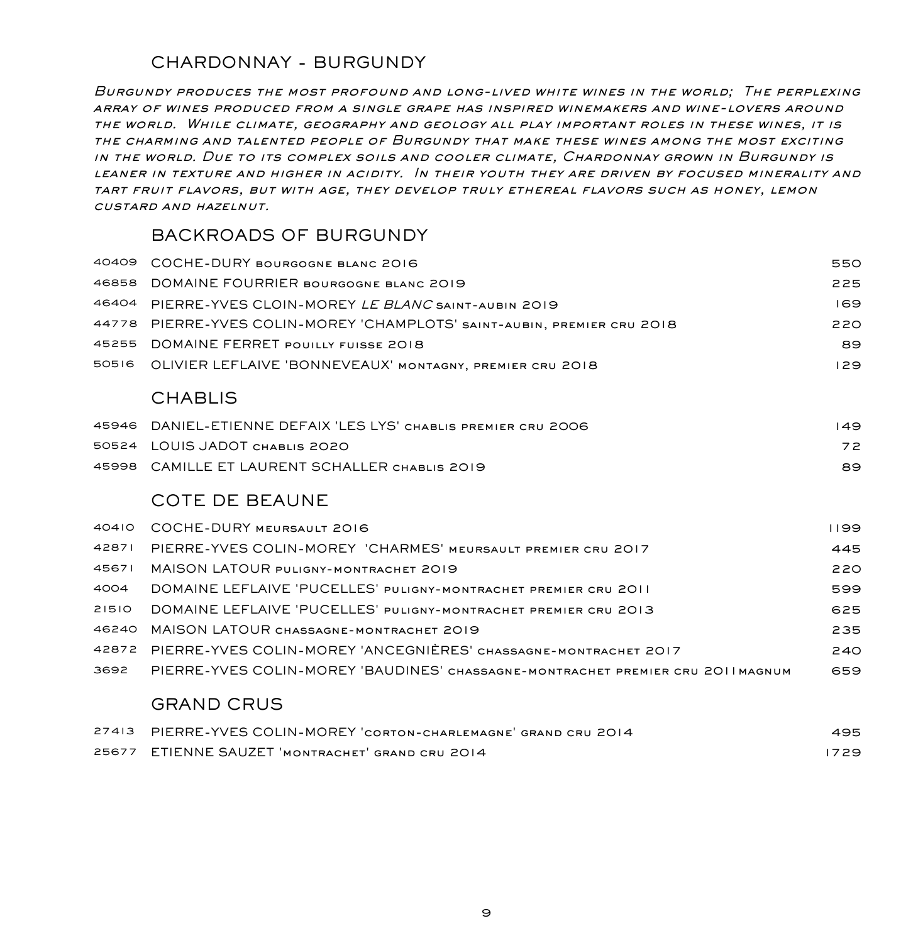### CHARDONNAY - BURGUNDY

*Burgundy produces the most profound and long-lived white wines in the world; The perplexing array of wines produced from a single grape has inspired winemakers and wine-lovers around the world. While climate, geography and geology all play important roles in these wines, it is the charming and talented people of Burgundy that make these wines among the most exciting in the world. Due to its complex soils and cooler climate, Chardonnay grown in Burgundy is leaner in texture and higher in acidity. In their youth they are driven by focused minerality and tart fruit flavors, but with age, they develop truly ethereal flavors such as honey, lemon custard and hazelnut.*

### BACKROADS OF BURGUNDY

|       | 40409 COCHE-DURY BOURGOGNE BLANC 2016                                   | 550 |
|-------|-------------------------------------------------------------------------|-----|
| 46858 | DOMAINE FOURRIER BOURGOGNE BLANC 2019                                   | 225 |
|       | 46404 PIERRE-YVES CLOIN-MOREY LE BLANC SAINT-AUBIN 2019                 | 169 |
|       | 44778 PIERRE-YVES COLIN-MOREY 'CHAMPLOTS' SAINT-AUBIN, PREMIER CRU 2018 | 220 |
| 45255 | DOMAINE FERRET POUILLY FUISSE 2018                                      | 89  |
|       | 50516 OLIVIER LEFLAIVE 'BONNEVEAUX' MONTAGNY, PREMIER CRU 2018          | 129 |
|       | <b>CHABLIS</b>                                                          |     |
|       | 45946 DANIEL-ETIENNE DEFAIX 'LES LYS' CHABLIS PREMIER CRU 2006          | 149 |
| 50524 | LOUIS JADOT CHABLIS 2020                                                | 72  |
|       | 45998 CAMILLE ET LAURENT SCHALLER CHABLIS 2019                          | 89  |

### COTE DE BEAUNE

| 40410 | COCHE-DURY MEURSAULT 2016                                                       | 1199 |
|-------|---------------------------------------------------------------------------------|------|
| 42871 | PIERRE-YVES COLIN-MOREY 'CHARMES' MEURSAULT PREMIER CRU 2017                    | 445  |
| 45671 | MAISON LATOUR PULIGNY-MONTRACHET 2019                                           | 220  |
| 4004  | DOMAINE LEFLAIVE 'PUCELLES' PULIGNY-MONTRACHET PREMIER CRU 2011                 | 599  |
| 21510 | DOMAINE LEFLAIVE 'PUCELLES' PULIGNY-MONTRACHET PREMIER CRU 2013                 | 625  |
| 46240 | MAISON LATOUR CHASSAGNE-MONTRACHET 2019                                         | 235  |
| 42872 | PIERRE-YVES COLIN-MOREY 'ANCEGNIÈRES' CHASSAGNE-MONTRACHET 2017                 | 240  |
| 3692  | PIERRE-YVES COLIN-MOREY 'BAUDINES' CHASSAGNE-MONTRACHET PREMIER CRU 2011 MAGNUM | 659  |
|       |                                                                                 |      |

### GRAND CRUS

| 27413 PIERRE-YVES COLIN-MOREY CORTON-CHARLEMAGNE GRAND CRU 2014 | 495   |
|-----------------------------------------------------------------|-------|
| 25677 ETIENNE SAUZET 'MONTRACHET' GRAND CRU 2014                | 1729. |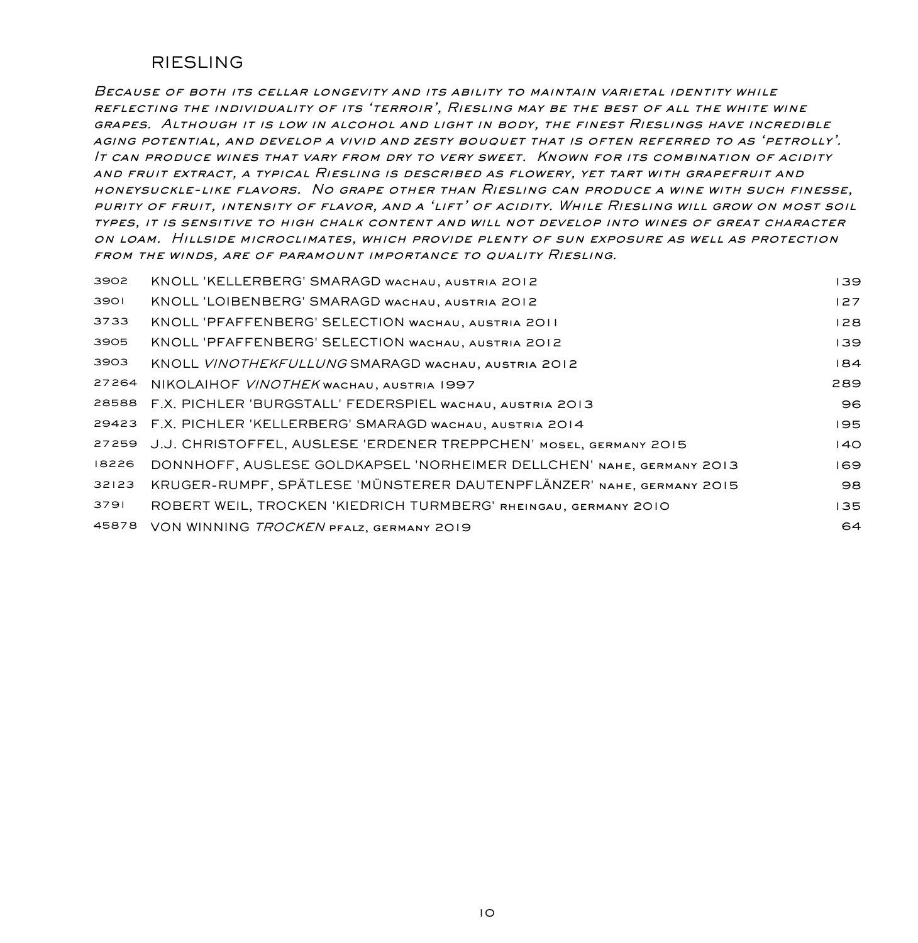### RIESLING

*Because of both its cellar longevity and its ability to maintain varietal identity while reflecting the individuality of its 'terroir', Riesling may be the best of all the white wine grapes. Although it is low in alcohol and light in body, the finest Rieslings have incredible aging potential, and develop a vivid and zesty bouquet that is often referred to as 'petrolly'. It can produce wines that vary from dry to very sweet. Known for its combination of acidity and fruit extract, a typical Riesling is described as flowery, yet tart with grapefruit and honeysuckle-like flavors. No grape other than Riesling can produce a wine with such finesse, purity of fruit, intensity of flavor, and a 'lift' of acidity. While Riesling will grow on most soil types, it is sensitive to high chalk content and will not develop into wines of great character on loam. Hillside microclimates, which provide plenty of sun exposure as well as protection from the winds, are of paramount importance to quality Riesling.*

| 3902  | KNOLL 'KELLERBERG' SMARAGD WACHAU, AUSTRIA 2012                      | 139 |
|-------|----------------------------------------------------------------------|-----|
| 3901  | KNOLL 'LOIBENBERG' SMARAGD WACHAU, AUSTRIA 2012                      | 127 |
| 3733  | KNOLL 'PFAFFENBERG' SELECTION WACHAU, AUSTRIA 2011                   | 128 |
| 3905  | KNOLL 'PFAFFENBERG' SELECTION WACHAU, AUSTRIA 2012                   | 139 |
| 3903  | KNOLL VINOTHEKFULLUNG SMARAGD WACHAU, AUSTRIA 2012                   | 184 |
| 27264 | NIKOLAIHOF <i>VINOTHEK</i> wachau, austria 1997                      | 289 |
| 28588 | F.X. PICHLER 'BURGSTALL' FEDERSPIEL WACHAU, AUSTRIA 2013             | 96  |
|       | 29423 F.X. PICHLER 'KELLERBERG' SMARAGD WACHAU, AUSTRIA 2014         | 195 |
| 27259 | J.J. CHRISTOFFEL, AUSLESE 'ERDENER TREPPCHEN' MOSEL, GERMANY 2015    | 140 |
| 18226 | DONNHOFF, AUSLESE GOLDKAPSEL 'NORHEIMER DELLCHEN' NAHE, GERMANY 2013 | 169 |
| 32123 | KRUGER-RUMPF, SPÄTLESE 'MÜNSTERER DAUTENPFLÄNZER' NAHE, GERMANY 2015 | 98  |
| 3791  | ROBERT WEIL, TROCKEN 'KIEDRICH TURMBERG' RHEINGAU, GERMANY 2010      | 135 |
| 45878 | VON WINNING TROCKEN PFALZ, GERMANY 2019                              | 64  |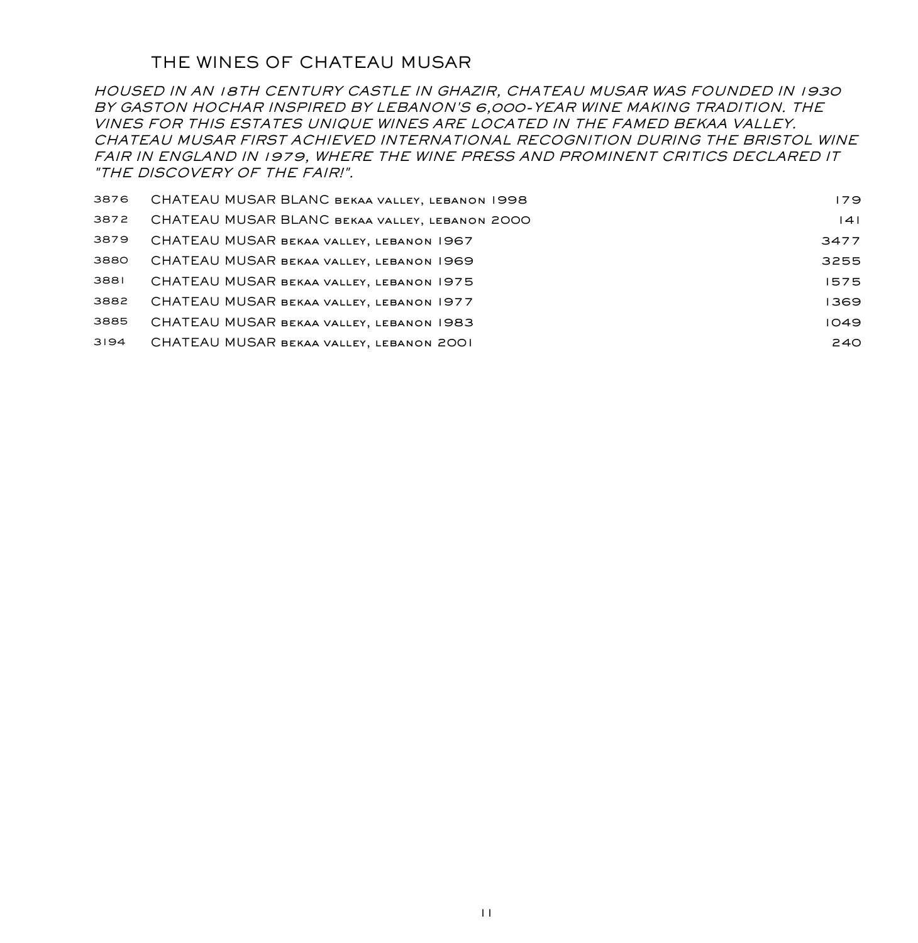## THE WINES OF CHATEAU MUSAR

*HOUSED IN AN 18TH CENTURY CASTLE IN GHAZIR, CHATEAU MUSAR WAS FOUNDED IN 1930 BY GASTON HOCHAR INSPIRED BY LEBANON'S 6,000-YEAR WINE MAKING TRADITION. THE VINES FOR THIS ESTATES UNIQUE WINES ARE LOCATED IN THE FAMED BEKAA VALLEY. CHATEAU MUSAR FIRST ACHIEVED INTERNATIONAL RECOGNITION DURING THE BRISTOL WINE FAIR IN ENGLAND IN 1979, WHERE THE WINE PRESS AND PROMINENT CRITICS DECLARED IT "THE DISCOVERY OF THE FAIR!".*

| 3876 | CHATEAU MUSAR BLANC BEKAA VALLEY, LEBANON 1998 | 179. |
|------|------------------------------------------------|------|
| 3872 | CHATEAU MUSAR BLANC BEKAA VALLEY, LEBANON 2000 | 4    |
| 3879 | CHATEAU MUSAR BEKAA VALLEY, LEBANON 1967       | 3477 |
| 3880 | CHATEAU MUSAR BEKAA VALLEY, LEBANON 1969       | 3255 |
| 3881 | CHATEAU MUSAR BEKAA VALLEY, LEBANON 1975       | 1575 |
| 3882 | CHATEAU MUSAR BEKAA VALLEY, LEBANON 1977       | 1369 |
| 3885 | CHATEAU MUSAR BEKAA VALLEY, LEBANON 1983       | 1049 |
| 3194 | CHATEAU MUSAR BEKAA VALLEY, LEBANON 2001       | 240  |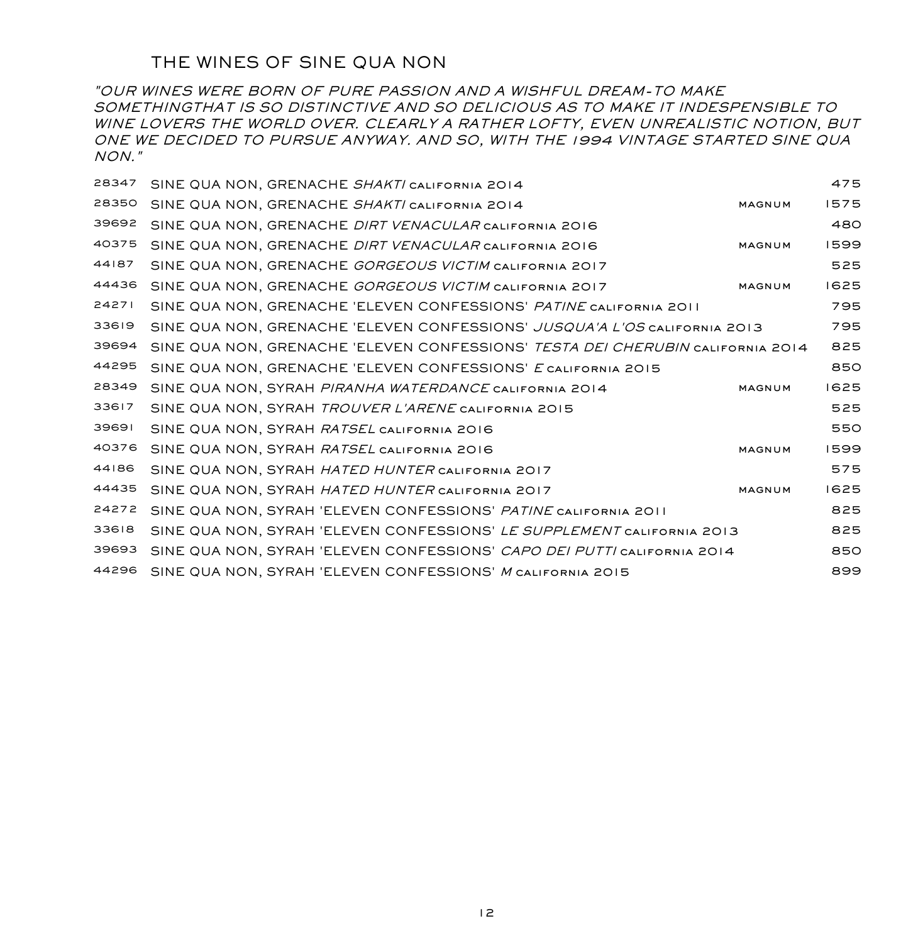## THE WINES OF SINE QUA NON

*"OUR WINES WERE BORN OF PURE PASSION AND A WISHFUL DREAM-TO MAKE SOMETHINGTHAT IS SO DISTINCTIVE AND SO DELICIOUS AS TO MAKE IT INDESPENSIBLE TO WINE LOVERS THE WORLD OVER. CLEARLY A RATHER LOFTY, EVEN UNREALISTIC NOTION, BUT ONE WE DECIDED TO PURSUE ANYWAY. AND SO, WITH THE 1994 VINTAGE STARTED SINE QUA NON."*

| 28347 | SINE QUA NON, GRENACHE SHAKTI CALIFORNIA 2014                                  |        | 475  |
|-------|--------------------------------------------------------------------------------|--------|------|
| 28350 | SINE QUA NON, GRENACHE SHAKTI CALIFORNIA 2014                                  | MAGNUM | 1575 |
| 39692 | SINE QUA NON, GRENACHE DIRT VENACULAR CALIFORNIA 2016                          |        | 480  |
| 40375 | SINE QUA NON, GRENACHE DIRT VENACULAR CALIFORNIA 2016                          | MAGNUM | 1599 |
| 44187 | SINE QUA NON, GRENACHE GORGEOUS VICTIM CALIFORNIA 2017                         |        | 525  |
| 44436 | SINE QUA NON, GRENACHE GORGEOUS VICTIM CALIFORNIA 2017                         | MAGNUM | 1625 |
| 24271 | SINE QUA NON, GRENACHE 'ELEVEN CONFESSIONS' PATINE CALIFORNIA 2011             |        | 795  |
| 33619 | SINE QUA NON, GRENACHE 'ELEVEN CONFESSIONS' JUSQUA'A L'OS CALIFORNIA 2013      |        | 795  |
| 39694 | SINE QUA NON, GRENACHE 'ELEVEN CONFESSIONS' TESTA DEI CHERUBIN CALIFORNIA 2014 |        | 825  |
| 44295 | SINE QUA NON, GRENACHE 'ELEVEN CONFESSIONS' E CALIFORNIA 2015                  |        | 850  |
| 28349 | SINE QUA NON, SYRAH PIRANHA WATERDANCE CALIFORNIA 2014                         | MAGNUM | 1625 |
| 33617 | SINE QUA NON, SYRAH TROUVER L'ARENE CALIFORNIA 2015                            |        | 525  |
| 39691 | SINE QUA NON, SYRAH RATSEL CALIFORNIA 2016                                     |        | 550  |
| 40376 | SINE QUA NON, SYRAH RATSEL CALIFORNIA 2016                                     | MAGNUM | 1599 |
| 44186 | SINE QUA NON, SYRAH HATED HUNTER CALIFORNIA 2017                               |        | 575  |
| 44435 | SINE QUA NON, SYRAH HATED HUNTER CALIFORNIA 2017                               | MAGNUM | 1625 |
| 24272 | SINE QUA NON, SYRAH 'ELEVEN CONFESSIONS' PATINE CALIFORNIA 2011                |        | 825  |
| 33618 | SINE QUA NON, SYRAH 'ELEVEN CONFESSIONS' LE SUPPLEMENT CALIFORNIA 2013         |        | 825  |
| 39693 | SINE QUA NON, SYRAH 'ELEVEN CONFESSIONS' CAPO DEI PUTTI CALIFORNIA 2014        |        | 850  |
| 44296 | SINE QUA NON, SYRAH 'ELEVEN CONFESSIONS' M CALIFORNIA 2015                     |        | 899  |
|       |                                                                                |        |      |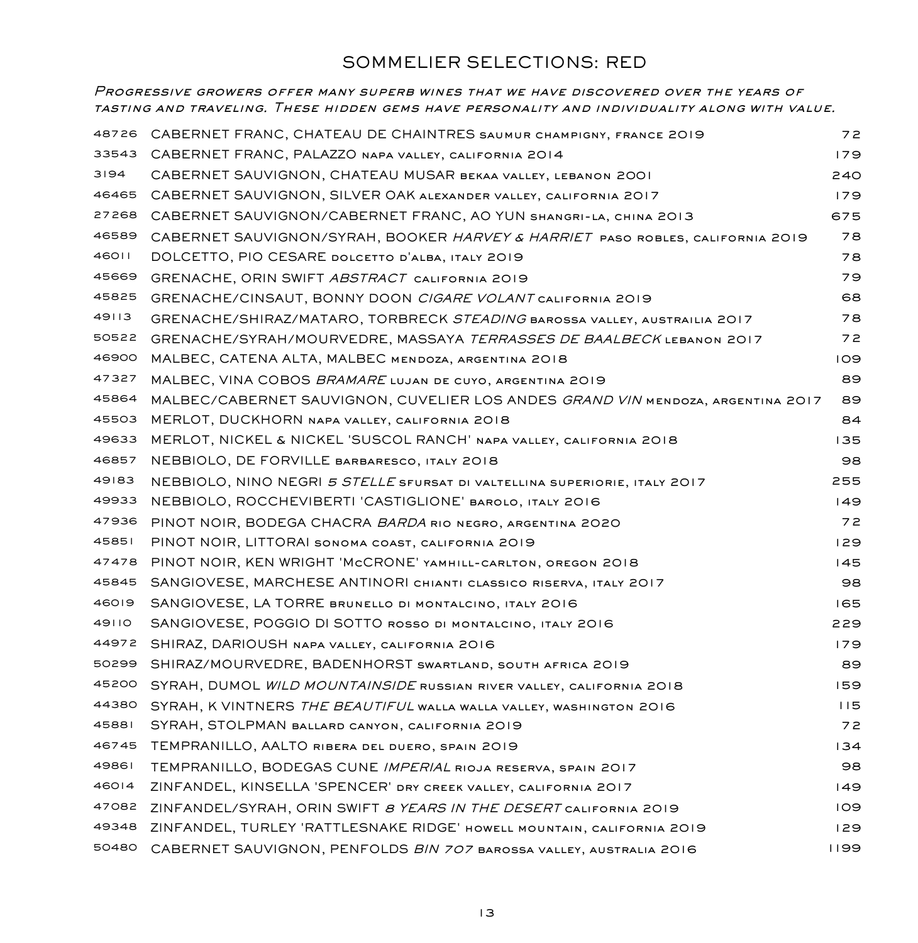# SOMMELIER SELECTIONS: RED

*Progressive growers offer many superb wines that we have discovered over the years of tasting and traveling. These hidden gems have personality and individuality along with value.*

|       | 48726 CABERNET FRANC, CHATEAU DE CHAINTRES SAUMUR CHAMPIGNY, FRANCE 2019        | 72   |
|-------|---------------------------------------------------------------------------------|------|
| 33543 | CABERNET FRANC, PALAZZO NAPA VALLEY, CALIFORNIA 2014                            | 179  |
| 3194  | CABERNET SAUVIGNON, CHATEAU MUSAR BEKAA VALLEY, LEBANON 2001                    | 240  |
| 46465 | CABERNET SAUVIGNON, SILVER OAK ALEXANDER VALLEY, CALIFORNIA 2017                | 179  |
| 27268 | CABERNET SAUVIGNON/CABERNET FRANC, AO YUN SHANGRI-LA, CHINA 2013                | 675  |
| 46589 | CABERNET SAUVIGNON/SYRAH, BOOKER HARVEY & HARRIET PASO ROBLES, CALIFORNIA 2019  | 78   |
| 46011 | DOLCETTO, PIO CESARE DOLCETTO D'ALBA, ITALY 2019                                | 78   |
| 45669 | GRENACHE, ORIN SWIFT ABSTRACT CALIFORNIA 2019                                   | 79   |
| 45825 | GRENACHE/CINSAUT, BONNY DOON CIGARE VOLANT CALIFORNIA 2019                      | 68   |
| 49113 | GRENACHE/SHIRAZ/MATARO, TORBRECK STEADING BAROSSA VALLEY, AUSTRAILIA 2017       | 78   |
| 50522 | GRENACHE/SYRAH/MOURVEDRE, MASSAYA TERRASSES DE BAALBECK LEBANON 2017            | 72   |
| 46900 | MALBEC, CATENA ALTA, MALBEC MENDOZA, ARGENTINA 2018                             | 109  |
| 47327 | MALBEC, VINA COBOS BRAMARE LUJAN DE CUYO, ARGENTINA 2019                        | 89   |
| 45864 | MALBEC/CABERNET SAUVIGNON, CUVELIER LOS ANDES GRAND VIN MENDOZA, ARGENTINA 2017 | 89   |
| 45503 | MERLOT, DUCKHORN NAPA VALLEY, CALIFORNIA 2018                                   | 84   |
| 49633 | MERLOT, NICKEL & NICKEL 'SUSCOL RANCH' NAPA VALLEY, CALIFORNIA 2018             | 135  |
| 46857 | NEBBIOLO, DE FORVILLE BARBARESCO, ITALY 2018                                    | 98   |
| 49183 | NEBBIOLO, NINO NEGRI 5 STELLE SFURSAT DI VALTELLINA SUPERIORIE, ITALY 2017      | 255  |
| 49933 | NEBBIOLO, ROCCHEVIBERTI 'CASTIGLIONE' BAROLO, ITALY 2016                        | 149  |
| 47936 | PINOT NOIR, BODEGA CHACRA BARDA RIO NEGRO, ARGENTINA 2020                       | 72   |
| 45851 | PINOT NOIR, LITTORAI SONOMA COAST, CALIFORNIA 2019                              | 129  |
| 47478 | PINOT NOIR, KEN WRIGHT 'MCCRONE' YAMHILL-CARLTON, OREGON 2018                   | 145  |
| 45845 | SANGIOVESE, MARCHESE ANTINORI CHIANTI CLASSICO RISERVA, ITALY 2017              | 98   |
| 46019 | SANGIOVESE, LA TORRE BRUNELLO DI MONTALCINO, ITALY 2016                         | 165  |
| 49110 | SANGIOVESE, POGGIO DI SOTTO ROSSO DI MONTALCINO, ITALY 2016                     | 229  |
| 44972 | SHIRAZ, DARIOUSH NAPA VALLEY, CALIFORNIA 2016                                   | 179  |
| 50299 | SHIRAZ/MOURVEDRE, BADENHORST SWARTLAND, SOUTH AFRICA 2019                       | 89   |
| 45200 | SYRAH, DUMOL WILD MOUNTAINSIDE RUSSIAN RIVER VALLEY, CALIFORNIA 2018            | 159  |
| 44380 | SYRAH, K VINTNERS THE BEAUTIFUL WALLA WALLA VALLEY, WASHINGTON 2016             | 115  |
| 45881 | SYRAH, STOLPMAN BALLARD CANYON, CALIFORNIA 2019                                 | 72   |
| 46745 | TEMPRANILLO, AALTO RIBERA DEL DUERO, SPAIN 2019                                 | 134  |
| 49861 | TEMPRANILLO, BODEGAS CUNE IMPERIAL RIOJA RESERVA, SPAIN 2017                    | 98   |
| 46014 | ZINFANDEL, KINSELLA 'SPENCER' DRY CREEK VALLEY, CALIFORNIA 2017                 | 49   |
| 47082 | ZINFANDEL/SYRAH, ORIN SWIFT 8 YEARS IN THE DESERT CALIFORNIA 2019               | 109  |
| 49348 | ZINFANDEL, TURLEY 'RATTLESNAKE RIDGE' HOWELL MOUNTAIN, CALIFORNIA 2019          | 129  |
|       | 50480 CABERNET SAUVIGNON, PENFOLDS BIN 707 BAROSSA VALLEY, AUSTRALIA 2016       | 1199 |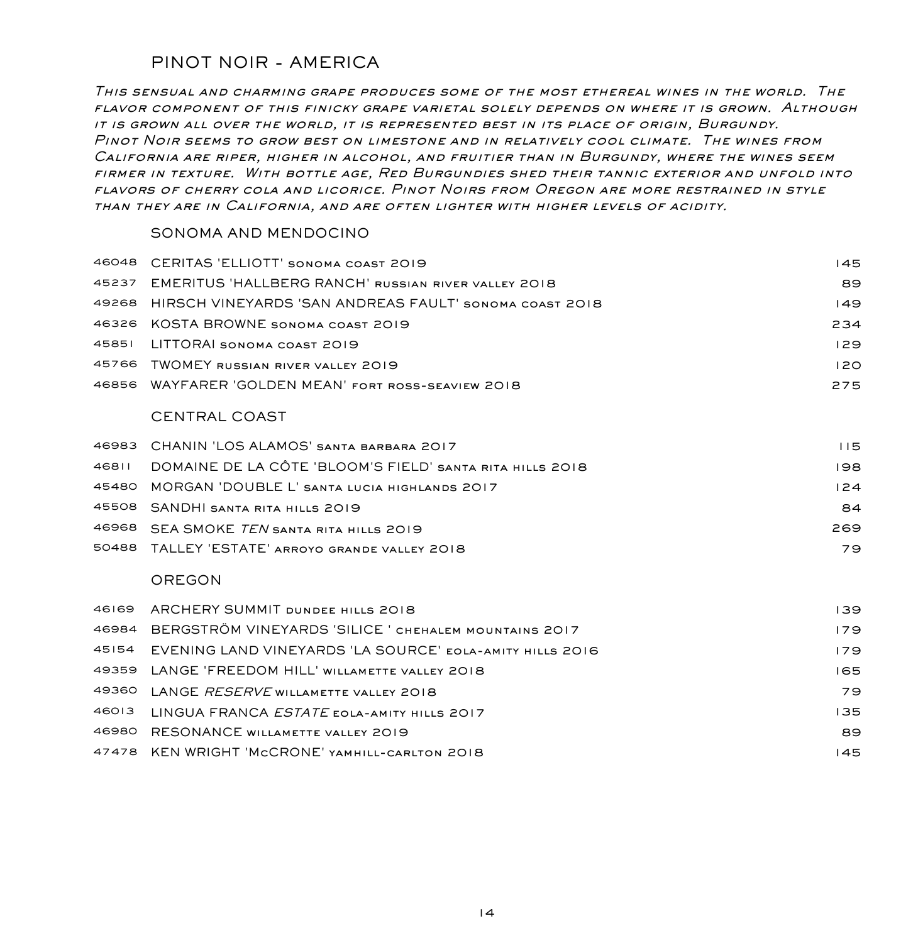### PINOT NOIR - AMERICA

*This sensual and charming grape produces some of the most ethereal wines in the world. The flavor component of this finicky grape varietal solely depends on where it is grown. Although it is grown all over the world, it is represented best in its place of origin, Burgundy. Pinot Noir seems to grow best on limestone and in relatively cool climate. The wines from California are riper, higher in alcohol, and fruitier than in Burgundy, where the wines seem firmer in texture. With bottle age, Red Burgundies shed their tannic exterior and unfold into flavors of cherry cola and licorice. Pinot Noirs from Oregon are more restrained in style than they are in California, and are often lighter with higher levels of acidity.*

#### SONOMA AND MENDOCINO

|       | 46048 CERITAS 'ELLIOTT' SONOMA COAST 2019              | 145  |
|-------|--------------------------------------------------------|------|
| 45237 | EMERITUS 'HALLBERG RANCH' RUSSIAN RIVER VALLEY 2018    | 89   |
| 49268 | HIRSCH VINEYARDS 'SAN ANDREAS FAULT' SONOMA COAST 2018 | 149  |
|       | 46326 KOSTA BROWNE SONOMA COAST 2019                   | 234  |
|       | 45851 LITTORAI SONOMA COAST 2019                       | 129. |
| 45766 | TWOMEY RUSSIAN RIVER VALLEY 2019                       | 120. |
| 46856 | WAYFARER 'GOLDEN MEAN' FORT ROSS-SEAVIEW 2018          | 275  |
|       |                                                        |      |

#### CENTRAL COAST

|       | 46983 CHANIN 'LOS ALAMOS' SANTA BARBARA 2017             | H.5. |
|-------|----------------------------------------------------------|------|
| 46811 | DOMAINE DE LA CÔTE 'BLOOM'S FIELD' SANTA RITA HILLS 2018 | 198  |
| 45480 | MORGAN 'DOUBLE L' SANTA LUCIA HIGHLANDS 2017             | 124  |
|       | 45508 SANDHI SANTA RITA HILLS 2019                       | 84   |
|       | 46968 SEA SMOKE TEN SANTA RITA HILLS 2019                | 269  |
|       | 50488 TALLEY 'ESTATE' ARROYO GRANDE VALLEY 2018          | 79   |
|       |                                                          |      |

#### OREGON

|       | 46169 ARCHERY SUMMIT DUNDEE HILLS 2018                         | 139. |
|-------|----------------------------------------------------------------|------|
| 46984 | BERGSTRÖM VINEYARDS 'SILICE ' CHEHALEM MOUNTAINS 2017          | 179. |
|       | 45154 EVENING LAND VINEYARDS 'LA SOURCE' EOLA-AMITY HILLS 2016 | 179  |
|       | 49359 LANGE 'FREEDOM HILL' WILLAMETTE VALLEY 2018              | 165. |
| 49360 | LANGE RESERVE WILLAMETTE VALLEY 2018                           | 79   |
| 46013 | LINGUA FRANCA <i>ESTATE</i> EOLA-AMITY HILLS 2017              | 135. |
| 46980 | RESONANCE WILLAMETTE VALLEY 2019                               | 89   |
|       | 47478 KEN WRIGHT 'MCCRONE' YAMHILL-CARLTON 2018                | 145. |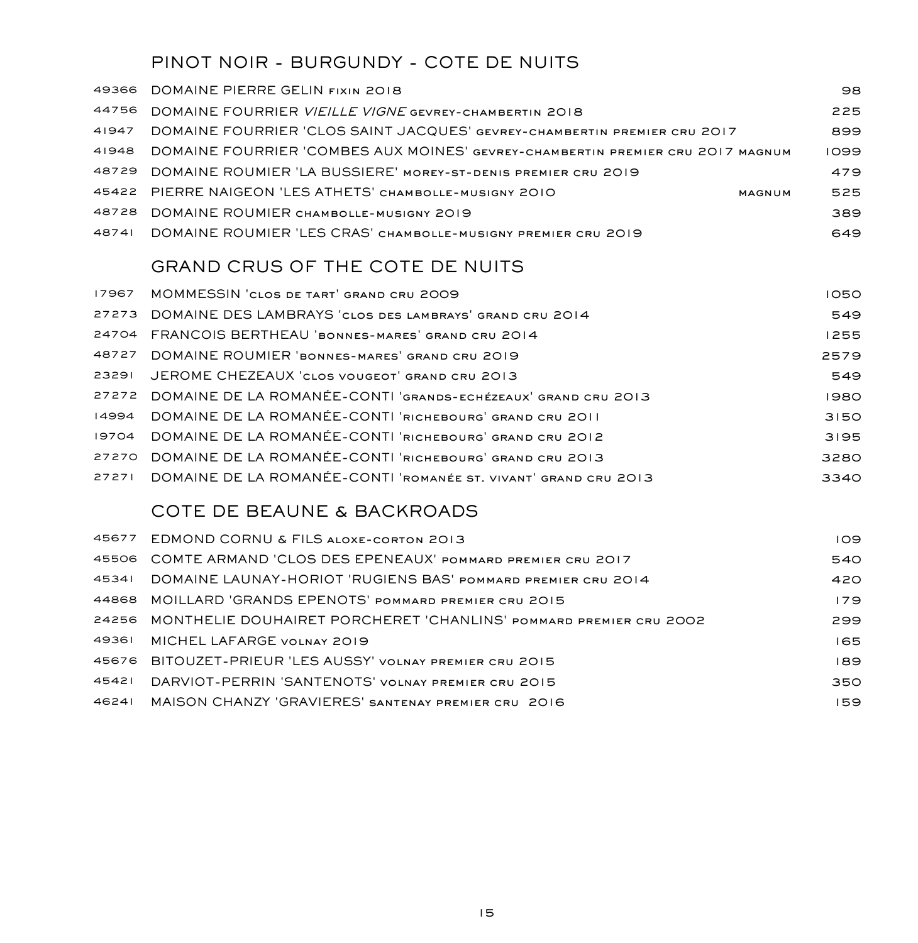# PINOT NOIR - BURGUNDY - COTE DE NUITS

|       | 49366 DOMAINE PIERRE GELIN FIXIN 2018                                          |        | 98   |
|-------|--------------------------------------------------------------------------------|--------|------|
| 44756 | DOMAINE FOURRIER VIEILLE VIGNE GEVREY-CHAMBERTIN 2018                          |        | 225  |
| 41947 | DOMAINE FOURRIER 'CLOS SAINT JACQUES' GEVREY-CHAMBERTIN PREMIER CRU 2017       |        | 899  |
| 41948 | DOMAINE FOURRIER 'COMBES AUX MOINES' GEVREY-CHAMBERTIN PREMIER CRU 2017 MAGNUM |        | 1099 |
|       | 48729 DOMAINE ROUMIER 'LA BUSSIERE' MOREY-ST-DENIS PREMIER CRU 2019            |        | 479  |
|       | 45422 PIERRE NAIGEON 'LES ATHETS' CHAMBOLLE-MUSIGNY 2010                       | MAGNUM | 525  |
|       | 48728 DOMAINE ROUMIER CHAMBOLLE-MUSIGNY 2019                                   |        | 389  |
| 48741 | DOMAINE ROUMIER 'LES CRAS' CHAMBOLLE-MUSIGNY PREMIER CRU 2019                  |        | 649  |

## GRAND CRUS OF THE COTE DE NUITS

| 17967 | MOMMESSIN 'CLOS DE TART' GRAND CRU 2009                             | 1050 |
|-------|---------------------------------------------------------------------|------|
|       | 27273 DOMAINE DES LAMBRAYS 'CLOS DES LAMBRAYS' GRAND CRU 2014       | 549  |
|       | 24704 FRANCOIS BERTHEAU 'BONNES-MARES' GRAND CRU 2014               | 1255 |
|       | 48727 DOMAINE ROUMIER BONNES-MARES GRAND CRU 2019                   | 2579 |
|       | 23291 JEROME CHEZEAUX 'CLOS VOUGEOT' GRAND CRU 2013                 | 549  |
|       | 27272 DOMAINE DE LA ROMANÉE-CONTI 'GRANDS-ECHÉZEAUX' GRAND CRU 2013 | 1980 |
|       | 14994 DOMAINE DE LA ROMANÉE-CONTI 'RICHEBOURG' GRAND CRU 2011       | 3150 |
| 19704 | DOMAINE DE LA ROMANÉE-CONTI 'RICHEBOURG' GRAND CRU 2012             | 3195 |
|       | 27270 DOMAINE DE LA ROMANÉE-CONTI 'RICHEBOURG' GRAND CRU 2013       | 3280 |
| 27271 | DOMAINE DE LA ROMANÉE-CONTI 'ROMANÉE ST. VIVANT' GRAND CRU 2013     | 3340 |

# COTE DE BEAUNE & BACKROADS

| 45677 | EDMOND CORNU & FILS ALOXE-CORTON 2013                             | 109 |
|-------|-------------------------------------------------------------------|-----|
|       | 45506 COMTE ARMAND 'CLOS DES EPENEAUX' POMMARD PREMIER CRU 2017   | 540 |
| 45341 | DOMAINE LAUNAY-HORIOT 'RUGIENS BAS' POMMARD PREMIER CRU 2014      | 420 |
| 44868 | MOILLARD 'GRANDS EPENOTS' POMMARD PREMIER CRU 2015                | 179 |
| 24256 | MONTHELIE DOUHAIRET PORCHERET 'CHANLINS' POMMARD PREMIER CRU 2002 | 299 |
| 49361 | MICHEL LAFARGE VOLNAY 2019                                        | 165 |
| 45676 | BITOUZET-PRIEUR 'LES AUSSY' VOLNAY PREMIER CRU 2015               | 189 |
| 45421 | DARVIOT-PERRIN 'SANTENOTS' VOLNAY PREMIER CRU 2015                | 350 |
| 46241 | MAISON CHANZY 'GRAVIERES' SANTENAY PREMIER CRU 2016               | 159 |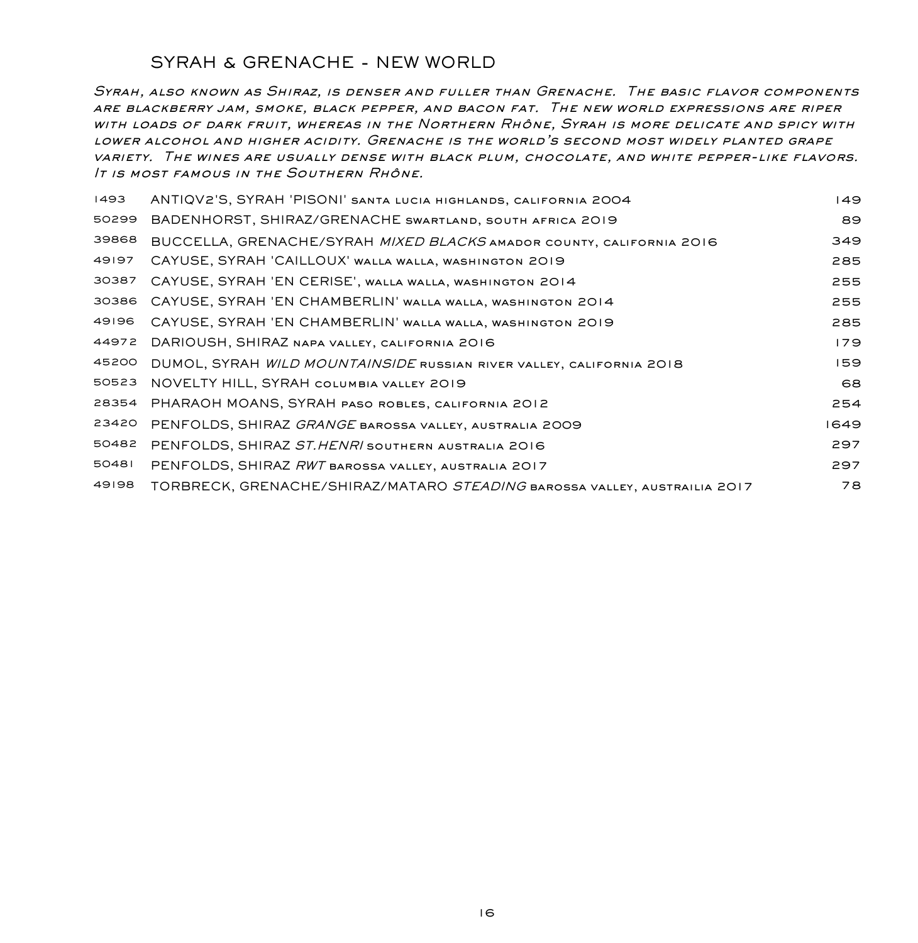## SYRAH & GRENACHE - NEW WORLD

*Syrah, also known as Shiraz, is denser and fuller than Grenache. The basic flavor components are blackberry jam, smoke, black pepper, and bacon fat. The new world expressions are riper with loads of dark fruit, whereas in the Northern Rhône, Syrah is more delicate and spicy with lower alcohol and higher acidity. Grenache is the world's second most widely planted grape variety. The wines are usually dense with black plum, chocolate, and white pepper-like flavors. It is most famous in the Southern Rhône.*

| 1493  | ANTIQV2'S, SYRAH 'PISONI' SANTA LUCIA HIGHLANDS, CALIFORNIA 2004          | 149  |
|-------|---------------------------------------------------------------------------|------|
| 50299 | BADENHORST, SHIRAZ/GRENACHE SWARTLAND, SOUTH AFRICA 2019                  | 89   |
| 39868 | BUCCELLA, GRENACHE/SYRAH MIXED BLACKS AMADOR COUNTY, CALIFORNIA 2016      | 349  |
| 49197 | CAYUSE, SYRAH 'CAILLOUX' WALLA WALLA, WASHINGTON 2019                     | 285  |
| 30387 | CAYUSE, SYRAH 'EN CERISE', WALLA WALLA, WASHINGTON 2014                   | 255  |
| 30386 | CAYUSE, SYRAH 'EN CHAMBERLIN' WALLA WALLA, WASHINGTON 2014                | 255  |
| 49196 | CAYUSE, SYRAH 'EN CHAMBERLIN' WALLA WALLA, WASHINGTON 2019                | 285  |
| 44972 | DARIOUSH, SHIRAZ NAPA VALLEY, CALIFORNIA 2016                             | 179  |
| 45200 | DUMOL, SYRAH WILD MOUNTAINSIDE RUSSIAN RIVER VALLEY, CALIFORNIA 2018      | 159  |
| 50523 | NOVELTY HILL, SYRAH COLUMBIA VALLEY 2019                                  | 68   |
| 28354 | PHARAOH MOANS, SYRAH PASO ROBLES, CALIFORNIA 2012                         | 254  |
| 23420 | PENFOLDS, SHIRAZ <i>GRANGE</i> BAROSSA VALLEY, AUSTRALIA 2009             | 1649 |
| 50482 | PENFOLDS, SHIRAZ ST. HENRI SOUTHERN AUSTRALIA 2016                        | 297  |
| 50481 | PENFOLDS, SHIRAZ RWT BAROSSA VALLEY, AUSTRALIA 2017                       | 297  |
| 49198 | TORBRECK, GRENACHE/SHIRAZ/MATARO STEADING BAROSSA VALLEY, AUSTRAILIA 2017 | 78   |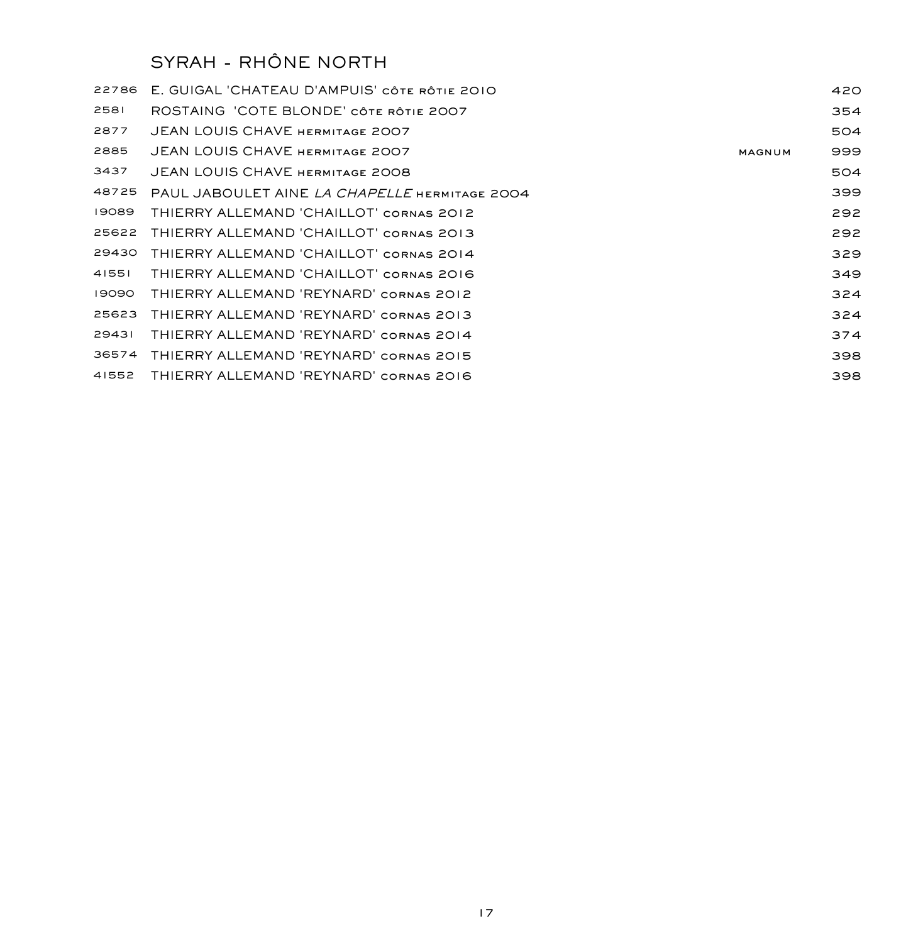# SYRAH - RHÔNE NORTH

| 22786 | E. GUIGAL 'CHATEAU D'AMPUIS' CÔTE RÔTIE 2010         |        | 420 |
|-------|------------------------------------------------------|--------|-----|
| 2581  | ROSTAING 'COTE BLONDE' CÔTE RÔTIE 2007               |        | 354 |
| 2877  | JEAN LOUIS CHAVE HERMITAGE 2007                      |        | 504 |
| 2885  | JEAN LOUIS CHAVE HERMITAGE 2007                      | MAGNUM | 999 |
| 3437  | <b>JEAN LOUIS CHAVE HERMITAGE 2008</b>               |        | 504 |
| 48725 | PAUL JABOULET AINE <i>LA CHAPELLE</i> HERMITAGE 2004 |        | 399 |
| 19089 | THIERRY ALLEMAND 'CHAILLOT' cornas 2012              |        | 292 |
| 25622 | THIERRY ALLEMAND 'CHAILLOT' cornas 2013              |        | 292 |
| 29430 | THIERRY ALLEMAND 'CHAILLOT' cornas 2014              |        | 329 |
| 41551 | THIERRY ALLEMAND 'CHAILLOT' cornas 2016              |        | 349 |
| 19090 | THIERRY ALLEMAND 'REYNARD' CORNAS 2012               |        | 324 |
| 25623 | THIERRY ALLEMAND 'REYNARD' CORNAS 2013               |        | 324 |
| 29431 | THIERRY ALLEMAND 'REYNARD' cornas 2014               |        | 374 |
| 36574 | THIERRY ALLEMAND 'REYNARD' cornas 2015               |        | 398 |
| 41552 | THIERRY ALLEMAND 'REYNARD' cornas 2016               |        | 398 |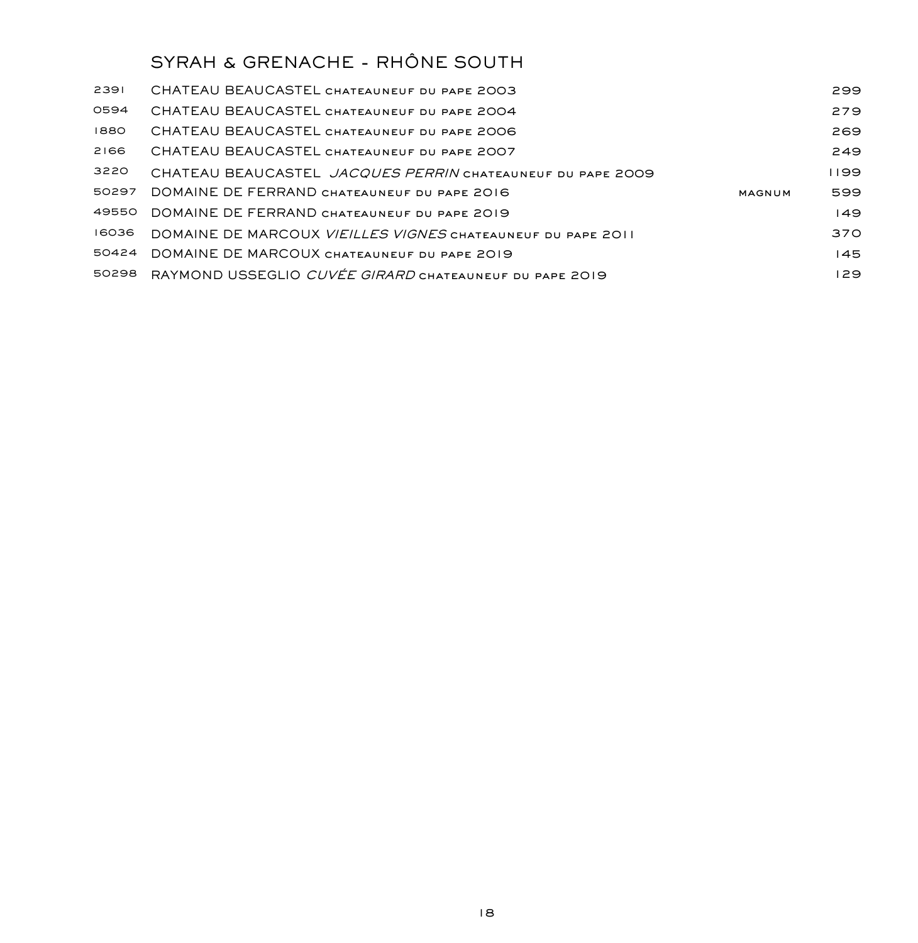# SYRAH & GRENACHE - RHÔNE SOUTH

| 2391  | CHATEAU BEAUCASTEL CHATEAUNEUF DU PAPE 2003                       |        | 299  |
|-------|-------------------------------------------------------------------|--------|------|
| 0594  | CHATEAU BEAUCASTEL CHATEAUNEUF DU PAPE 2004                       |        | 279  |
| 1880  | CHATEAU BEAUCASTEL CHATEAUNEUF DU PAPE 2006                       |        | 269  |
| 2166  | CHATEAU BEAUCASTEL CHATEAUNEUF DU PAPE 2007                       |        | 249  |
| 3220  | CHATEAU BEAUCASTEL <i>JACQUES PERRIN</i> CHATEAUNEUF DU PAPE 2009 |        | 1199 |
| 50297 | DOMAINE DE FERRAND CHATEAUNEUE DU PAPE 2016                       | MAGNUM | 599  |
| 49550 | DOMAINE DE FERRAND CHATEAUNEUF DU PAPE 2019                       |        | 149  |
| 16036 | DOMAINE DE MARCOUX VIEILLES VIGNES CHATEAUNEUF DU PAPE 2011       |        | 37O  |
| 50424 | DOMAINE DE MARCOUX CHATEAUNEUF DU PAPE 2019                       |        | 145  |
| 50298 | RAYMOND USSEGLIO CUVÉE GIRARD CHATEAUNEUF DU PAPE 2019            |        | 129  |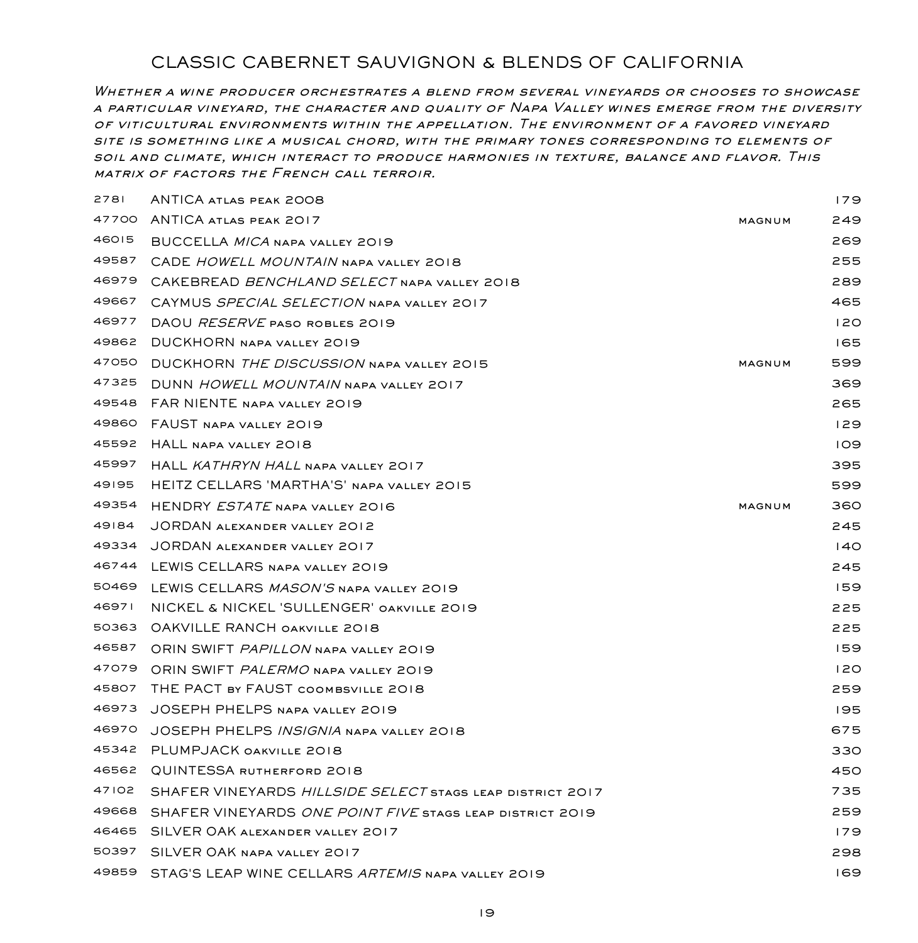## CLASSIC CABERNET SAUVIGNON & BLENDS OF CALIFORNIA

*Whether a wine producer orchestrates a blend from several vineyards or chooses to showcase a particular vineyard, the character and quality of Napa Valley wines emerge from the diversity of viticultural environments within the appellation. The environment of a favored vineyard site is something like a musical chord, with the primary tones corresponding to elements of soil and climate, which interact to produce harmonies in texture, balance and flavor. This matrix of factors the French call terroir.*

| 2781  | ANTICA ATLAS PEAK 2008                                           |        | 179 |
|-------|------------------------------------------------------------------|--------|-----|
| 47700 | <b>ANTICA ATLAS PEAK 2017</b>                                    | MAGNUM | 249 |
| 46015 | BUCCELLA MICA NAPA VALLEY 2019                                   |        | 269 |
| 49587 | CADE HOWELL MOUNTAIN NAPA VALLEY 2018                            |        | 255 |
| 46979 | CAKEBREAD BENCHLAND SELECT NAPA VALLEY 2018                      |        | 289 |
| 49667 | CAYMUS SPECIAL SELECTION NAPA VALLEY 2017                        |        | 465 |
| 46977 | DAOU <i>RESERVE</i> paso robles 2019                             |        | 120 |
| 49862 | DUCKHORN NAPA VALLEY 2019                                        |        | 165 |
| 47050 | DUCKHORN THE DISCUSSION NAPA VALLEY 2015                         | MAGNUM | 599 |
| 47325 | DUNN HOWELL MOUNTAIN NAPA VALLEY 2017                            |        | 369 |
| 49548 | FAR NIENTE napa valley 2019                                      |        | 265 |
|       | 49860 FAUST NAPA VALLEY 2019                                     |        | 129 |
|       | 45592 HALL NAPA VALLEY 2018                                      |        | 109 |
| 45997 | HALL KATHRYN HALL NAPA VALLEY 2017                               |        | 395 |
| 49195 | HEITZ CELLARS 'MARTHA'S' NAPA VALLEY 2015                        |        | 599 |
| 49354 | HENDRY ESTATE NAPA VALLEY 2016                                   | MAGNUM | 360 |
| 49184 | JORDAN ALEXANDER VALLEY 2012                                     |        | 245 |
| 49334 | JORDAN ALEXANDER VALLEY 2017                                     |        | 140 |
| 46744 | LEWIS CELLARS NAPA VALLEY 2019                                   |        | 245 |
| 50469 | LEWIS CELLARS <i>MASON'S</i> NAPA VALLEY 2019                    |        | 159 |
| 46971 | NICKEL & NICKEL 'SULLENGER' OAKVILLE 2019                        |        | 225 |
| 50363 | <b>OAKVILLE RANCH OAKVILLE 2018</b>                              |        | 225 |
| 46587 | ORIN SWIFT PAPILLON NAPA VALLEY 2019                             |        | 159 |
| 47079 | ORIN SWIFT PALERMO NAPA VALLEY 2019                              |        | 120 |
| 45807 | THE PACT BY FAUST COOMBSVILLE 2018                               |        | 259 |
| 46973 | JOSEPH PHELPS NAPA VALLEY 2019                                   |        | 195 |
| 46970 | JOSEPH PHELPS INSIGNIA NAPA VALLEY 2018                          |        | 675 |
| 45342 | PLUMPJACK OAKVILLE 2018                                          |        | 330 |
| 46562 | <b>QUINTESSA RUTHERFORD 2018</b>                                 |        | 450 |
| 47102 | SHAFER VINEYARDS <i>HILLSIDE SELECT</i> STAGS LEAP DISTRICT 2017 |        | 735 |
|       | 49668 SHAFER VINEYARDS ONE POINT FIVE STAGS LEAP DISTRICT 2019   |        | 259 |
|       | 46465 SILVER OAK ALEXANDER VALLEY 2017                           |        | 179 |
| 50397 | SILVER OAK NAPA VALLEY 2017                                      |        | 298 |
| 49859 | STAG'S LEAP WINE CELLARS ARTEMIS NAPA VALLEY 2019                |        | 169 |
|       |                                                                  |        |     |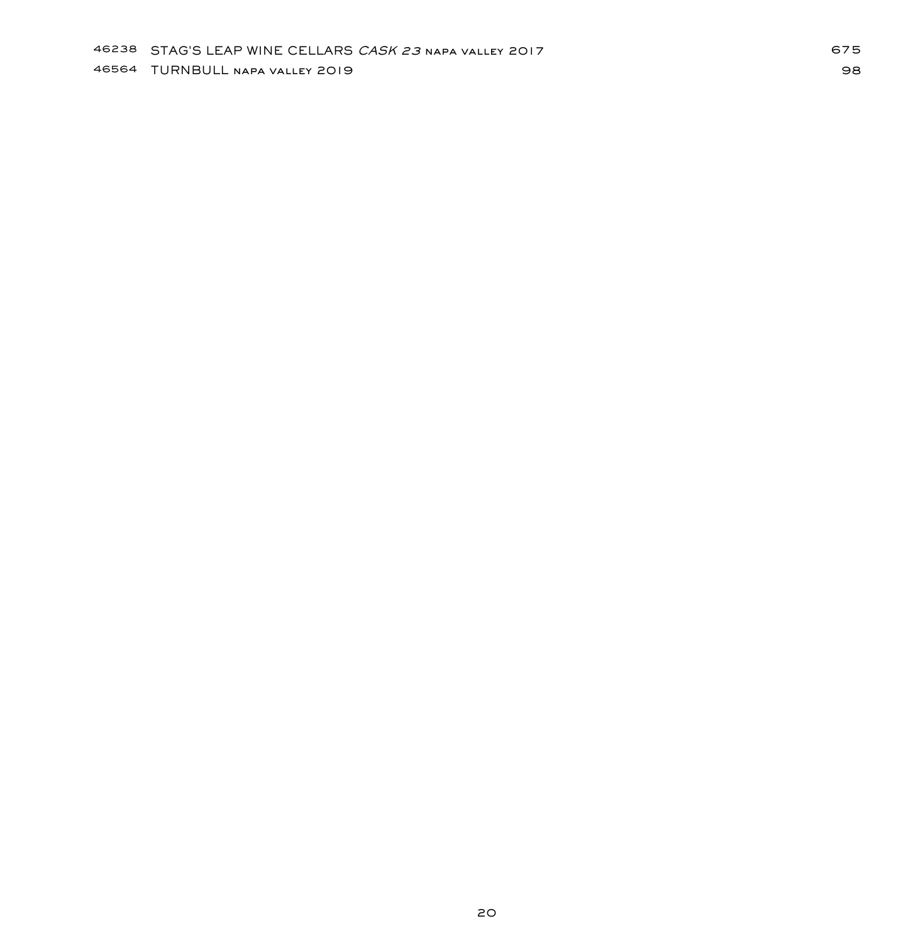TURNBULL napa valley 2019 98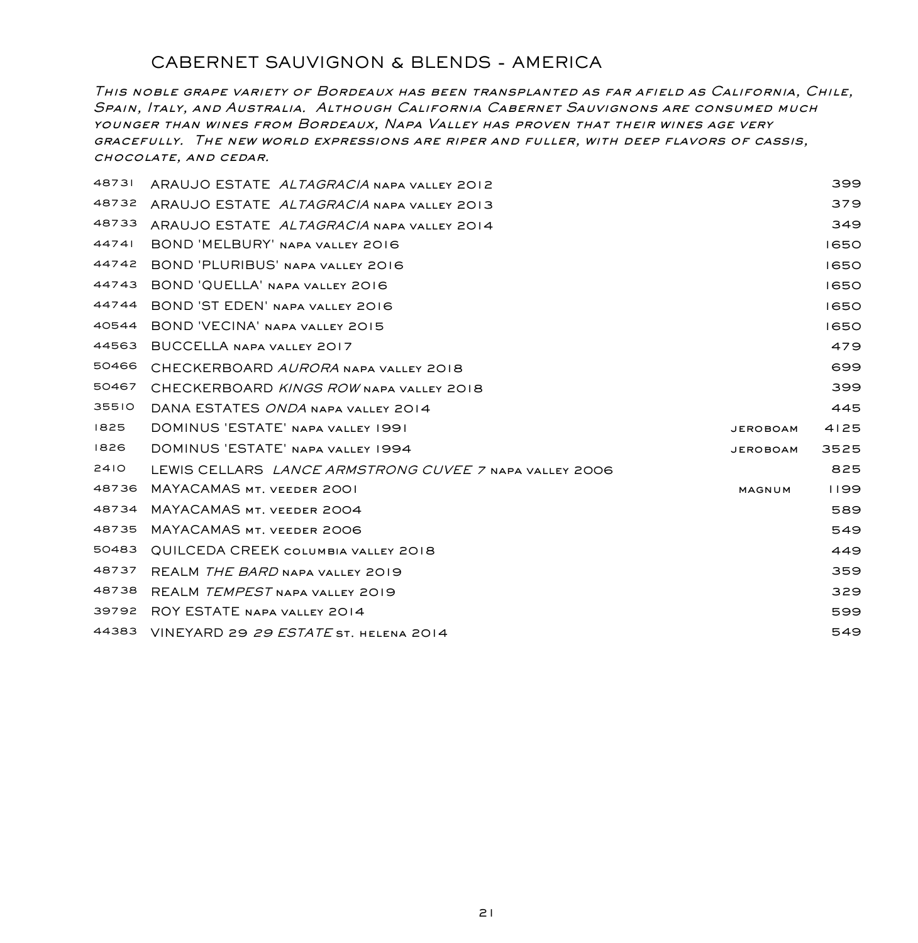## CABERNET SAUVIGNON & BLENDS - AMERICA

*This noble grape variety of Bordeaux has been transplanted as far afield as California, Chile, Spain, Italy, and Australia. Although California Cabernet Sauvignons are consumed much younger than wines from Bordeaux, Napa Valley has proven that their wines age very gracefully. The new world expressions are riper and fuller, with deep flavors of cassis, chocolate, and cedar.*

| 48731 | ARAUJO ESTATE ALTAGRACIA NAPA VALLEY 2012              |                 | 399  |
|-------|--------------------------------------------------------|-----------------|------|
| 48732 | ARAUJO ESTATE ALTAGRACIA NAPA VALLEY 2013              |                 | 379  |
| 48733 | ARAUJO ESTATE ALTAGRACIA NAPA VALLEY 2014              |                 | 349  |
| 44741 | BOND 'MELBURY' NAPA VALLEY 2016                        |                 | 1650 |
| 44742 | BOND 'PLURIBUS' NAPA VALLEY 2016                       |                 | 1650 |
| 44743 | BOND 'QUELLA' NAPA VALLEY 2016                         |                 | 1650 |
| 44744 | BOND 'ST EDEN' NAPA VALLEY 2016                        |                 | 1650 |
| 40544 | BOND 'VECINA' NAPA VALLEY 2015                         |                 | 1650 |
| 44563 | BUCCELLA NAPA VALLEY 2017                              |                 | 479  |
| 50466 | CHECKERBOARD AURORA NAPA VALLEY 2018                   |                 | 699  |
| 50467 | CHECKERBOARD KINGS ROW NAPA VALLEY 2018                |                 | 399  |
| 35510 | DANA ESTATES ONDA NAPA VALLEY 2014                     |                 | 445  |
| 1825  | DOMINUS 'ESTATE' NAPA VALLEY 1991                      | <b>JEROBOAM</b> | 4125 |
| 1826  | DOMINUS 'ESTATE' NAPA VALLEY 1994                      | <b>JEROBOAM</b> | 3525 |
| 2410  | LEWIS CELLARS LANCE ARMSTRONG CUVEE 7 NAPA VALLEY 2006 |                 | 825  |
| 48736 | MAYACAMAS MT. VEEDER 2001                              | MAGNUM          | 1199 |
| 48734 | MAYACAMAS MT. VEEDER 2004                              |                 | 589  |
| 48735 | MAYACAMAS MT. VEEDER 2006                              |                 | 549  |
| 50483 | <b>QUILCEDA CREEK COLUMBIA VALLEY 2018</b>             |                 | 449  |
| 48737 | <b>REALM THE BARD NAPA VALLEY 2019</b>                 |                 | 359  |
| 48738 | REALM TEMPEST NAPA VALLEY 2019                         |                 | 329  |
| 39792 | ROY ESTATE NAPA VALLEY 2014                            |                 | 599  |
| 44383 | VINEYARD 29 29 ESTATE ST. HELENA 2014                  |                 | 549  |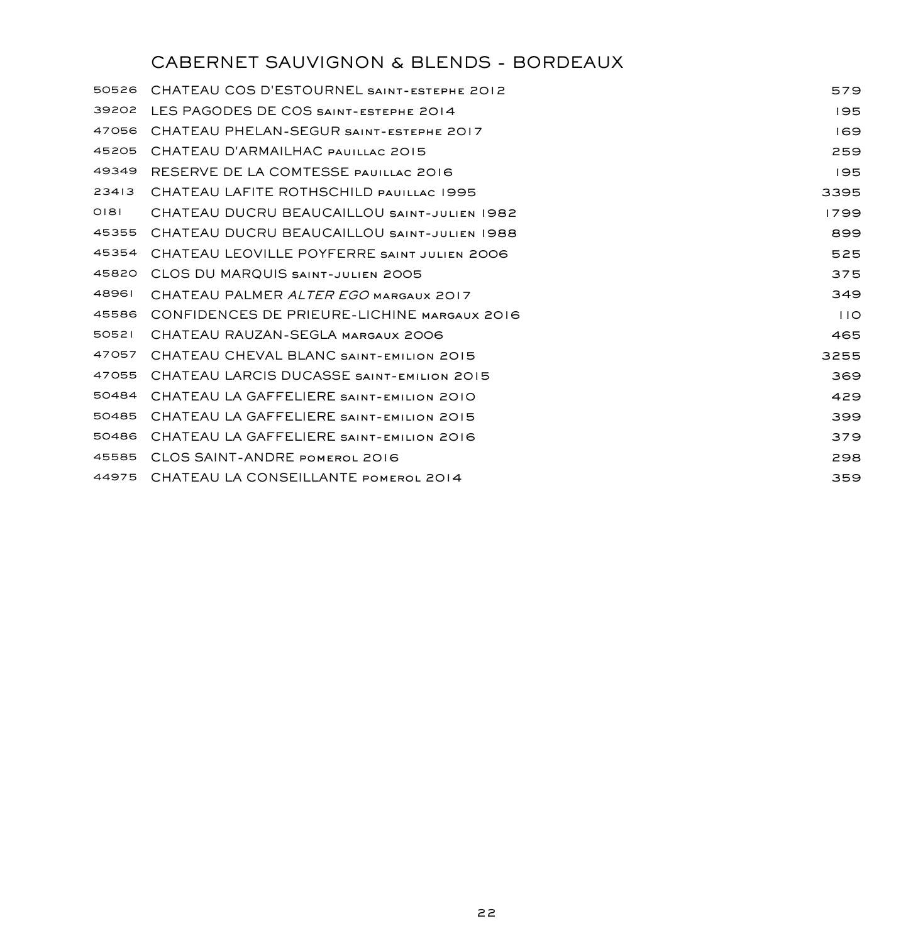# CABERNET SAUVIGNON & BLENDS - BORDEAUX

| 50526 | CHATEAU COS D'ESTOURNEL SAINT-ESTEPHE 2012  | 579  |
|-------|---------------------------------------------|------|
| 39202 | LES PAGODES DE COS SAINT-ESTEPHE 2014       | 195  |
| 47056 | CHATEAU PHELAN-SEGUR SAINT-ESTEPHE 2017     | 169  |
| 45205 | CHATEAU D'ARMAILHAC PAUILLAC 2015           | 259  |
| 49349 | RESERVE DE LA COMTESSE PAUILLAC 2016        | 195  |
| 23413 | CHATEAU LAFITE ROTHSCHILD PAULLAC 1995      | 3395 |
| O B   | CHATEAU DUCRU BEAUCAILLOU SAINT-JULIEN 1982 | 1799 |
| 45355 | CHATEAU DUCRU BEAUCAILLOU SAINT-JULIEN 1988 | 899  |
| 45354 | CHATEAU LEOVILLE POYFERRE SAINT JULIEN 2006 | 525  |
| 45820 | CLOS DU MARQUIS SAINT-JULIEN 2005           | 375  |
| 48961 | CHATEAU PALMER ALTER EGO MARGAUX 2017       | 349  |
| 45586 | CONFIDENCES DE PRIEURE-LICHINE MARGAUX 2016 | 110  |
| 50521 | CHATEAU RAUZAN-SEGLA MARGAUX 2006           | 465  |
| 47057 | CHATEAU CHEVAL BLANC SAINT-EMILION 2015     | 3255 |
| 47055 | CHATEAU LARCIS DUCASSE SAINT-EMILION 2015   | 369  |
| 50484 | CHATEAU LA GAFFELIERE SAINT-EMILION 2010    | 429  |
| 50485 | CHATEAU LA GAFFELIERE SAINT-EMILION 2015    | 399  |
| 50486 | CHATEAU LA GAFFELIERE SAINT-EMILION 2016    | 379  |
| 45585 | CLOS SAINT-ANDRE POMEROL 2016               | 298  |
| 44975 | CHATEAU LA CONSEILLANTE POMEROL 2014        | 359  |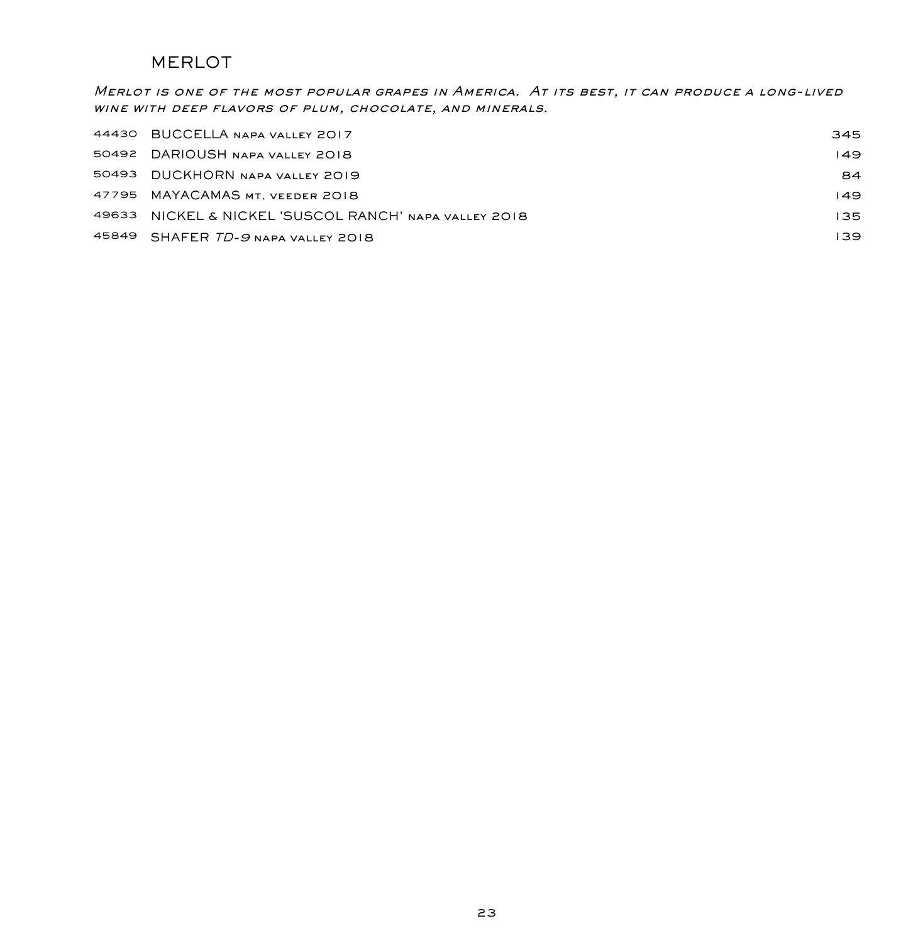### MERLOT

*Merlot is one of the most popular grapes in America. At its best, it can produce a long-lived wine with deep flavors of plum, chocolate, and minerals.*

|       | 44430 BUCCELLA NAPA VALLEY 2017                 | 345 |
|-------|-------------------------------------------------|-----|
|       | 50492 DARIOUSH NAPA VALLEY 2018                 | 149 |
|       | 50493 DUCKHORN NAPA VALLEY 2019                 | 84  |
|       | 47795 MAYACAMAS MT. VEEDER 2018                 | 149 |
| 49633 | NICKEL & NICKEL 'SUSCOL RANCH' napa valley 2018 | 135 |
|       | 45849 SHAFER TD-9 NAPA VALLEY 2018              | 139 |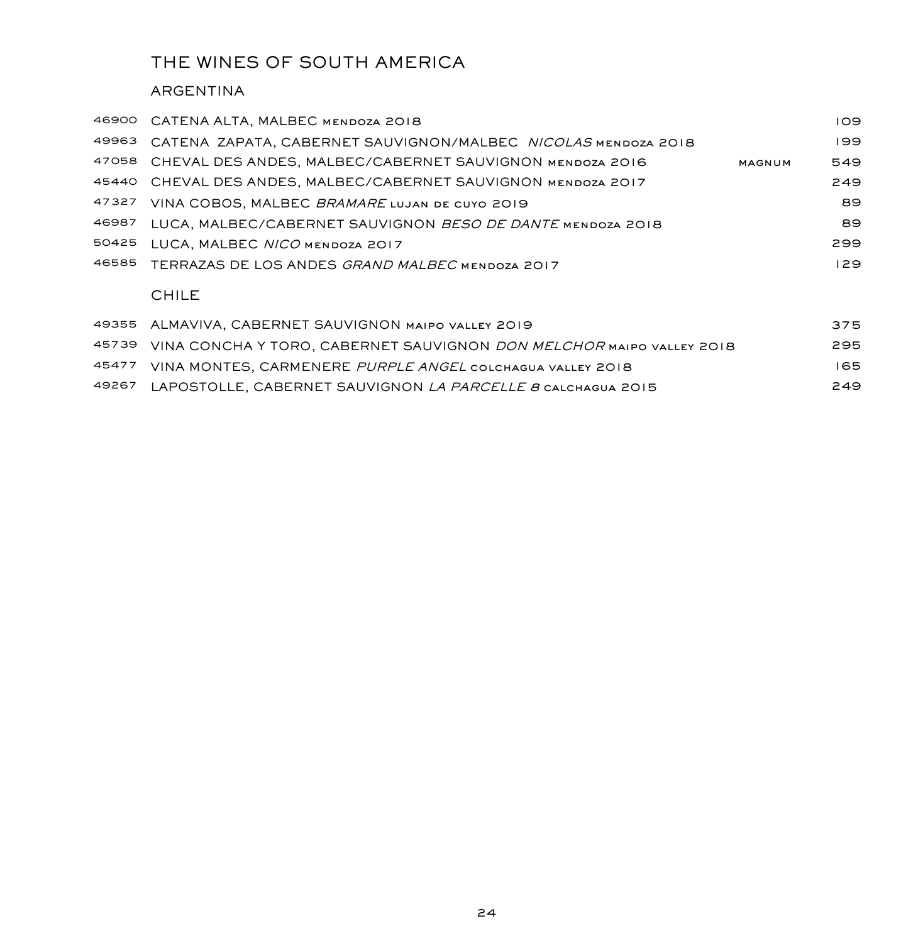## THE WINES OF SOUTH AMERICA

### ARGENTINA

| 46900 | CATENA ALTA, MALBEC MENDOZA 2018                                           |        | 109 |
|-------|----------------------------------------------------------------------------|--------|-----|
| 49963 | CATENA ZAPATA, CABERNET SAUVIGNON/MALBEC NICOLAS MENDOZA 2018              |        | 199 |
| 47058 | CHEVAL DES ANDES, MALBEC/CABERNET SAUVIGNON MENDOZA 2016                   | MAGNUM | 549 |
| 45440 | CHEVAL DES ANDES, MALBEC/CABERNET SAUVIGNON MENDOZA 2017                   |        | 249 |
| 47327 | VINA COBOS, MALBEC BRAMARE LUJAN DE CUYO 2019                              |        | 89  |
| 46987 | LUCA, MALBEC/CABERNET SAUVIGNON BESO DE DANTE MENDOZA 2018                 |        | 89  |
| 50425 | LUCA, MALBEC NICO MENDOZA 2017                                             |        | 299 |
| 46585 | TERRAZAS DE LOS ANDES GRAND MALBEC MENDOZA 2017                            |        | 129 |
|       | <b>CHILE</b>                                                               |        |     |
| 49355 | ALMAVIVA, CABERNET SAUVIGNON MAIPO VALLEY 2019                             |        | 375 |
|       | 45739 VINA CONCHA Y TORO, CABERNET SAUVIGNON DON MELCHOR MAIRO VALLEY 2018 |        | 295 |

| $\sim$ . The concentration of the concentration of the concentration matrix valies and | --- |
|----------------------------------------------------------------------------------------|-----|
| 45477 VINA MONTES, CARMENERE PURPLE ANGEL COLCHAGUA VALLEY 2018                        | 165 |

LAPOSTOLLE, CABERNET SAUVIGNON *LA PARCELLE 8* calchagua 2015 249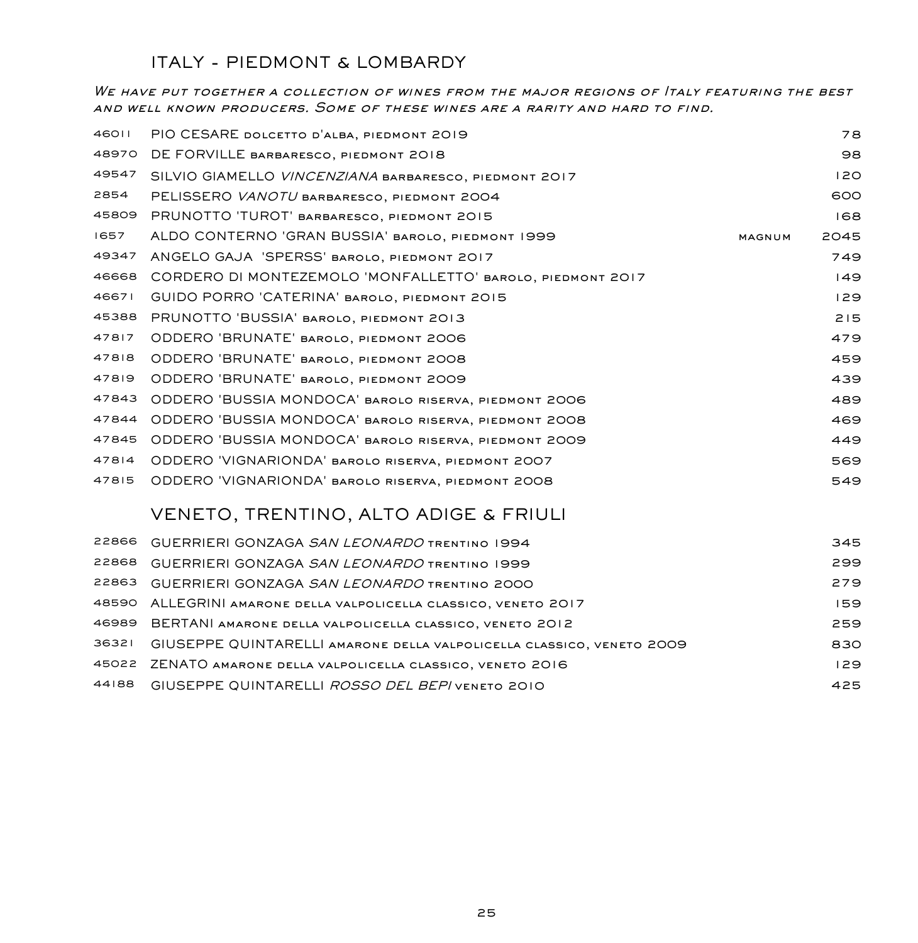## ITALY - PIEDMONT & LOMBARDY

*We have put together a collection of wines from the major regions of Italy featuring the best and well known producers. Some of these wines are a rarity and hard to find.*

| 46011 | PIO CESARE DOLCETTO D'ALBA, PIEDMONT 2019                  |        | 78   |
|-------|------------------------------------------------------------|--------|------|
| 48970 | DE FORVILLE BARBARESCO, PIEDMONT 2018                      |        | 98   |
| 49547 | SILVIO GIAMELLO VINCENZIANA BARBARESCO, PIEDMONT 2017      |        | 120  |
| 2854  | PELISSERO VANOTU BARBARESCO, PIEDMONT 2004                 |        | 600  |
| 45809 | PRUNOTTO 'TUROT' BARBARESCO, PIEDMONT 2015                 |        | 168  |
| 1657  | ALDO CONTERNO 'GRAN BUSSIA' BAROLO, PIEDMONT 1999          | MAGNUM | 2045 |
| 49347 | ANGELO GAJA 'SPERSS' BAROLO, PIEDMONT 2017                 |        | 749  |
| 46668 | CORDERO DI MONTEZEMOLO 'MONFALLETTO' BAROLO, PIEDMONT 2017 |        | 149  |
| 46671 | <b>GUIDO PORRO 'CATERINA' BAROLO, PIEDMONT 2015</b>        |        | 129  |
| 45388 | PRUNOTTO 'BUSSIA' BAROLO, PIEDMONT 2013                    |        | 215  |
| 47817 | ODDERO 'BRUNATE' BAROLO, PIEDMONT 2006                     |        | 479  |
| 47818 | ODDERO 'BRUNATE' BAROLO, PIEDMONT 2008                     |        | 459  |
| 47819 | ODDERO 'BRUNATE' BAROLO, PIEDMONT 2009                     |        | 439  |
| 47843 | ODDERO 'BUSSIA MONDOCA' BAROLO RISERVA, PIEDMONT 2006      |        | 489  |
| 47844 | ODDERO 'BUSSIA MONDOCA' BAROLO RISERVA, PIEDMONT 2008      |        | 469  |
| 47845 | ODDERO 'BUSSIA MONDOCA' BAROLO RISERVA, PIEDMONT 2009      |        | 449  |
| 47814 | ODDERO 'VIGNARIONDA' BAROLO RISERVA, PIEDMONT 2007         |        | 569  |
| 47815 | ODDERO 'VIGNARIONDA' BAROLO RISERVA, PIEDMONT 2008         |        | 549  |

# VENETO, TRENTINO, ALTO ADIGE & FRIULI

| 22866 GUERRIERI GONZAGA SAN LEONARDO TRENTINO 1994                          | 345  |
|-----------------------------------------------------------------------------|------|
| 22868 GUERRIERI GONZAGA SAN LEONARDO TRENTINO 1999                          | 299  |
| 22863 GUERRIERI GONZAGA SAN LEONARDO TRENTINO 2000                          | 279  |
| 48590 ALLEGRINI AMARONE DELLA VALPOLICELLA CLASSICO, VENETO 2017            | 159. |
| 46989 BERTANI AMARONE DELLA VALPOLICELLA CLASSICO, VENETO 2012              | 259  |
| 36321 GIUSEPPE QUINTARELLI AMARONE DELLA VALPOLICELLA CLASSICO, VENETO 2009 | 830  |
| 45022 ZENATO AMARONE DELLA VALPOLICELLA CLASSICO, VENETO 2016               | 129. |
| 44188 GIUSEPPE QUINTARELLI ROSSO DEL BEPI VENETO 2010                       | 425  |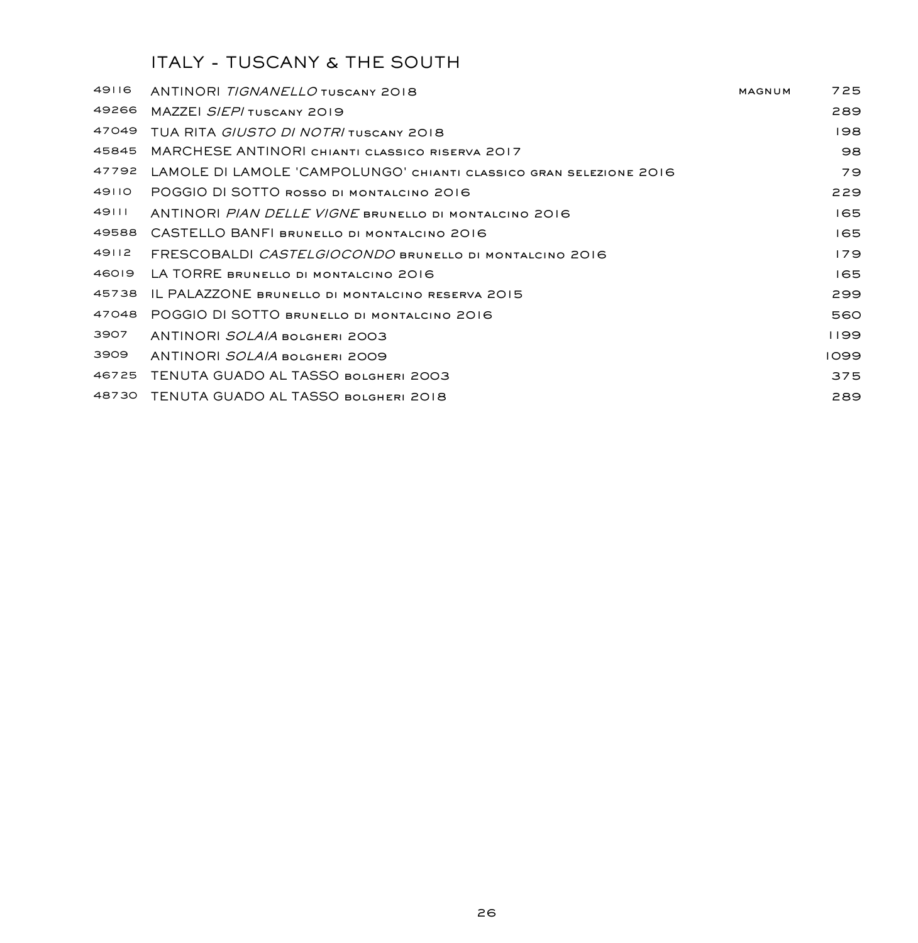# ITALY - TUSCANY & THE SOUTH

| 49116 | ANTINORI <i>TIGNANELLO</i> TUSCANY 2018                            | MAGNUM | 725  |
|-------|--------------------------------------------------------------------|--------|------|
| 49266 | MAZZEL SIEPI TUSCANY 2019                                          |        | 289  |
| 47049 | TUA RITA GIUSTO DI NOTRI TUSCANY 2018                              |        | 198  |
| 45845 | MARCHESE ANTINORI CHIANTI CLASSICO RISERVA 2017                    |        | 98   |
| 47792 | LAMOLE DI LAMOLE 'CAMPOLUNGO' CHIANTI CLASSICO GRAN SELEZIONE 2016 |        | 79   |
| 49110 | POGGIO DI SOTTO ROSSO DI MONTALCINO 2016                           |        | 229  |
| 49111 | <b>ANTINORI PIAN DELLE VIGNE BRUNELLO DI MONTALCINO 2016</b>       |        | 165  |
| 49588 | CASTELLO BANFI BRUNELLO DI MONTALCINO 2016                         |        | 165  |
| 49112 | FRESCOBALDI CASTELGIOCONDO BRUNELLO DI MONTALCINO 2016             |        | 179  |
| 46019 | LA TORRE BRUNELLO DI MONTALCINO 2016                               |        | 165  |
| 45738 | IL PALAZZONE BRUNELLO DI MONTALCINO RESERVA 2015                   |        | 299  |
| 47048 | POGGIO DI SOTTO BRUNELLO DI MONTALCINO 2016                        |        | 560  |
| 3907  | ANTINORI SOLAIA BOLGHERI 2003                                      |        | 1199 |
| 3909  | ANTINORI SOLAIA BOLGHERI 2009                                      |        | 1099 |
| 46725 | TENUTA GUADO AL TASSO BOLGHERI 2003                                |        | 375  |
|       | 48730 TENUTA GUADO AL TASSO BOLGHERI 2018                          |        | 289  |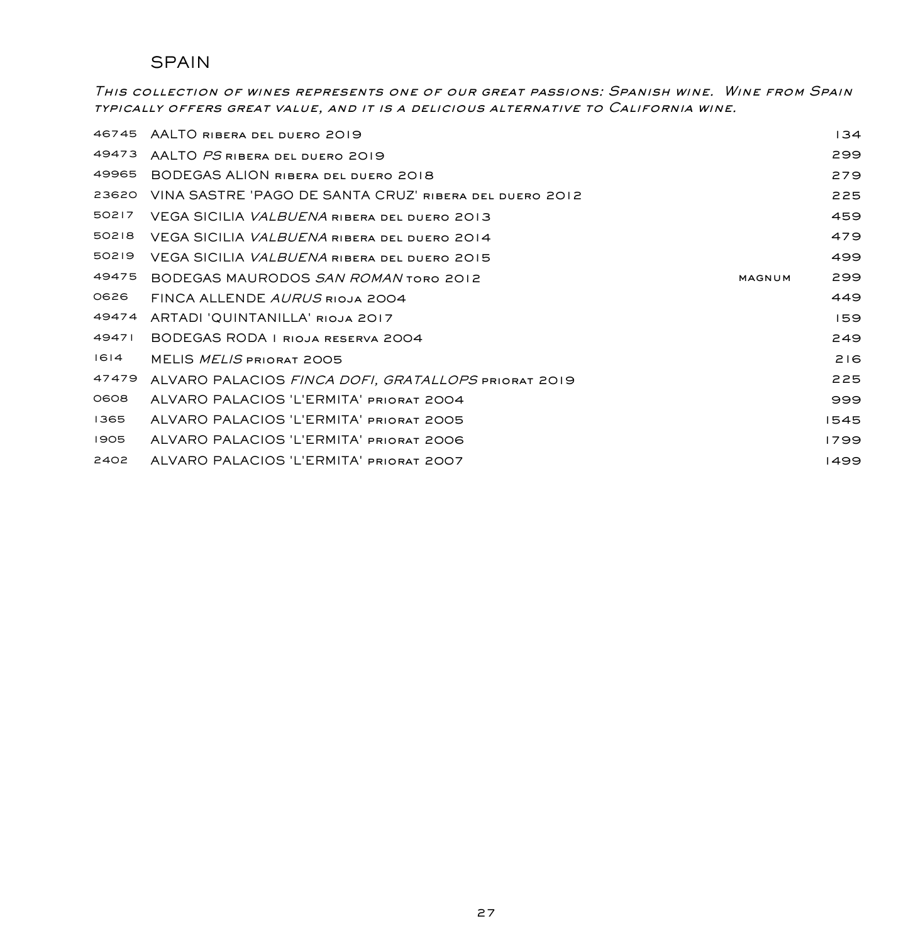### SPAIN

*This collection of wines represents one of our great passions: Spanish wine. Wine from Spain typically offers great value, and it is a delicious alternative to California wine.*

| 46745 | AALTO RIBERA DEL DUERO 2019                            |        | 134  |
|-------|--------------------------------------------------------|--------|------|
| 49473 | AALTO PS RIBERA DEL DUERO 2019                         |        | 299  |
| 49965 | BODEGAS ALION RIBERA DEL DUERO 2018                    |        | 279  |
| 23620 | VINA SASTRE 'PAGO DE SANTA CRUZ' RIBERA DEL DUERO 2012 |        | 225  |
| 50217 | VEGA SICILIA <i>VALBUENA</i> RIBERA DEL DUERO 2013     |        | 459  |
| 50218 | VEGA SICILIA <i>VALBUENA</i> RIBERA DEL DUERO 2014     |        | 479  |
| 50219 | VEGA SICILIA <i>VALBUENA</i> ribera del duero 2015     |        | 499  |
| 49475 | BODEGAS MAURODOS SAN ROMAN TORO 2012                   | MAGNUM | 299  |
| 0626  | FINCA ALLENDE AURUS RIOJA 2004                         |        | 449  |
| 49474 | ARTADI 'QUINTANILLA' RIOJA 2017                        |        | 159  |
| 49471 | BODEGAS RODA I RIOJA RESERVA 2004                      |        | 249  |
| 6 4   | MELIS <i>MELIS</i> PRIORAT 2005                        |        | 216  |
| 47479 | ALVARO PALACIOS FINCA DOFI, GRATALLOPS PRIORAT 2019    |        | 225  |
| 0608  | ALVARO PALACIOS 'L'ERMITA' PRIORAT 2004                |        | 999  |
| 1365  | ALVARO PALACIOS 'L'ERMITA' PRIORAT 2005                |        | 1545 |
| 1905  | ALVARO PALACIOS 'L'ERMITA' PRIORAT 2006                |        | 1799 |
| 2402  | ALVARO PALACIOS 'L'ERMITA' PRIORAT 2007                |        | 1499 |